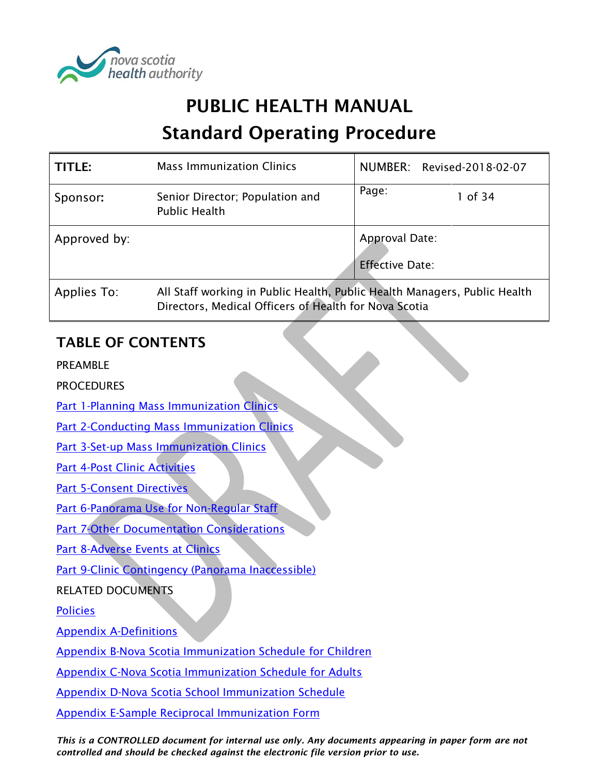

# PUBLIC HEALTH MANUAL Standard Operating Procedure

| <b>TITLE:</b> | <b>Mass Immunization Clinics</b>                                                                                                   |                                          | NUMBER: Revised-2018-02-07 |
|---------------|------------------------------------------------------------------------------------------------------------------------------------|------------------------------------------|----------------------------|
| Sponsor:      | Senior Director; Population and<br><b>Public Health</b>                                                                            | Page:                                    | 1 of 34                    |
| Approved by:  |                                                                                                                                    | Approval Date:<br><b>Effective Date:</b> |                            |
| Applies To:   | All Staff working in Public Health, Public Health Managers, Public Health<br>Directors, Medical Officers of Health for Nova Scotia |                                          |                            |

# TABLE OF CONTENTS

PREAMBLE

**PROCEDURES** 

[Part 1-Planning Mass Immunization Clinics](#page-1-0)

**[Part 2-Conducting Mass Immunization Clinics](#page-2-0)** 

[Part 3-Set-up Mass Immunization Clinics](#page-4-0) 

[Part 4-Post Clinic Activities](#page-6-0) 

[Part 5-Consent Directives](#page-7-0)

[Part 6-Panorama Use for Non-Regular Staff](#page-7-0)

[Part 7-Other Documentation Considerations](#page-11-0)

[Part 8-Adverse Events at](#page-14-0) Clinics

[Part 9-Clinic Contingency \(Panorama Inaccessible\)](#page-15-0)

RELATED DOCUMENTS

[Policies](#page-19-0)

[Appendix A-Definitions](#page-21-0)

[Appendix B-Nova Scotia Immunization Schedule](#page-23-0) for Children

[Appendix C-Nova Scotia Immunization Schedule for Adults](#page-24-0)

[Appendix D-Nova Scotia School Immunization Schedule](#page-25-0)

[Appendix E-Sample Reciprocal Immunization Form](#page-26-0)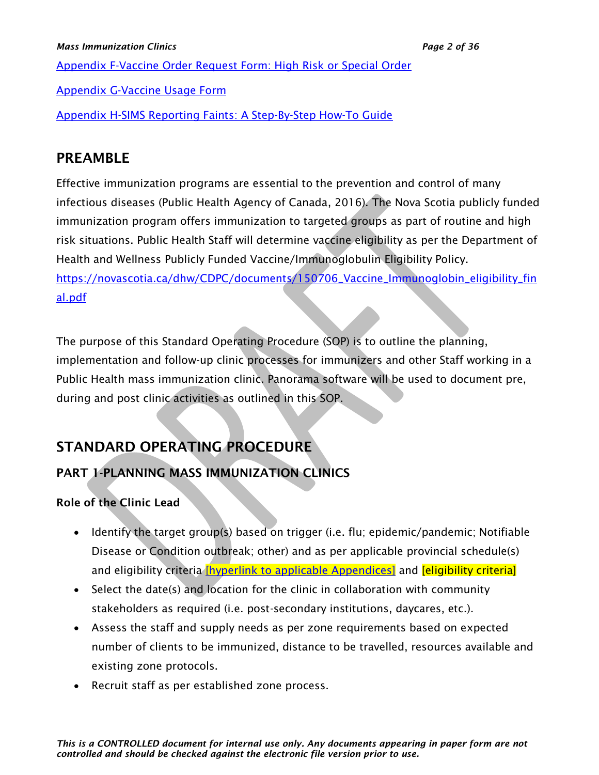[Appendix F-Vaccine Order Request Form: High Risk or Special Order](#page-27-0)

[Appendix G-Vaccine Usage Form](#page-28-0)

[Appendix H-SIMS Reporting Faints: A Step-By-Step How-To Guide](#page-29-0)

# PREAMBLE

Effective immunization programs are essential to the prevention and control of many infectious diseases (Public Health Agency of Canada, 2016). The Nova Scotia publicly funded immunization program offers immunization to targeted groups as part of routine and high risk situations. Public Health Staff will determine vaccine eligibility as per the Department of Health and Wellness Publicly Funded Vaccine/Immunoglobulin Eligibility Policy. [https://novascotia.ca/dhw/CDPC/documents/150706\\_Vaccine\\_Immunoglobin\\_eligibility\\_fin](https://novascotia.ca/dhw/CDPC/documents/150706_Vaccine_Immunoglobin_eligibility_final.pdf) [al.pdf](https://novascotia.ca/dhw/CDPC/documents/150706_Vaccine_Immunoglobin_eligibility_final.pdf)

The purpose of this Standard Operating Procedure (SOP) is to outline the planning, implementation and follow-up clinic processes for immunizers and other Staff working in a Public Health mass immunization clinic. Panorama software will be used to document pre, during and post clinic activities as outlined in this SOP.

# STANDARD OPERATING PROCEDURE

# <span id="page-1-0"></span>PART 1-PLANNING MASS IMMUNIZATION CLINICS

# Role of the Clinic Lead

- Identify the target group(s) based on trigger (i.e. flu; epidemic/pandemic; Notifiable Disease or Condition outbreak; other) and as per applicable provincial schedule(s) and eligibility criteria *[hyperlink to applicable Appendices]* and *[eligibility criteria]*
- Select the date(s) and location for the clinic in collaboration with community stakeholders as required (i.e. post-secondary institutions, daycares, etc.).
- Assess the staff and supply needs as per zone requirements based on expected number of clients to be immunized, distance to be travelled, resources available and existing zone protocols.
- Recruit staff as per established zone process.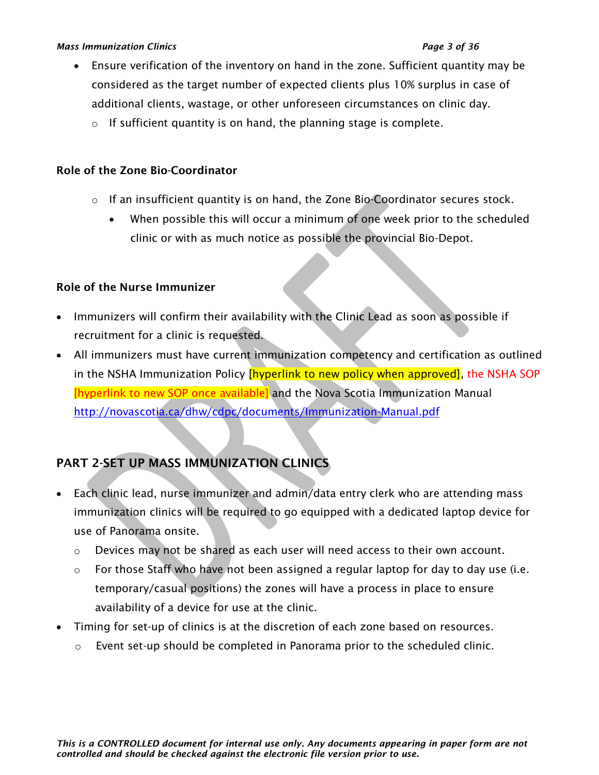#### *Mass Immunization Clinics Page 3 of 36*

- Ensure verification of the inventory on hand in the zone. Sufficient quantity may be considered as the target number of expected clients plus 10% surplus in case of additional clients, wastage, or other unforeseen circumstances on clinic day.
	- $\circ$  If sufficient quantity is on hand, the planning stage is complete.

# Role of the Zone Bio-Coordinator

- $\circ$  If an insufficient quantity is on hand, the Zone Bio-Coordinator secures stock.
	- When possible this will occur a minimum of one week prior to the scheduled clinic or with as much notice as possible the provincial Bio-Depot.

# Role of the Nurse Immunizer

- Immunizers will confirm their availability with the Clinic Lead as soon as possible if recruitment for a clinic is requested.
- All immunizers must have current immunization competency and certification as outlined in the NSHA Immunization Policy *[hyperlink to new policy when approved]*, the NSHA SOP [hyperlink to new SOP once available] and the Nova Scotia Immunization Manual <http://novascotia.ca/dhw/cdpc/documents/Immunization-Manual.pdf>

# <span id="page-2-0"></span>PART 2-SET UP MASS IMMUNIZATION CLINICS

- Each clinic lead, nurse immunizer and admin/data entry clerk who are attending mass immunization clinics will be required to go equipped with a dedicated laptop device for use of Panorama onsite.
	- $\circ$  Devices may not be shared as each user will need access to their own account.
	- $\circ$  For those Staff who have not been assigned a regular laptop for day to day use (i.e. temporary/casual positions) the zones will have a process in place to ensure availability of a device for use at the clinic.
- Timing for set-up of clinics is at the discretion of each zone based on resources.
	- o Event set-up should be completed in Panorama prior to the scheduled clinic.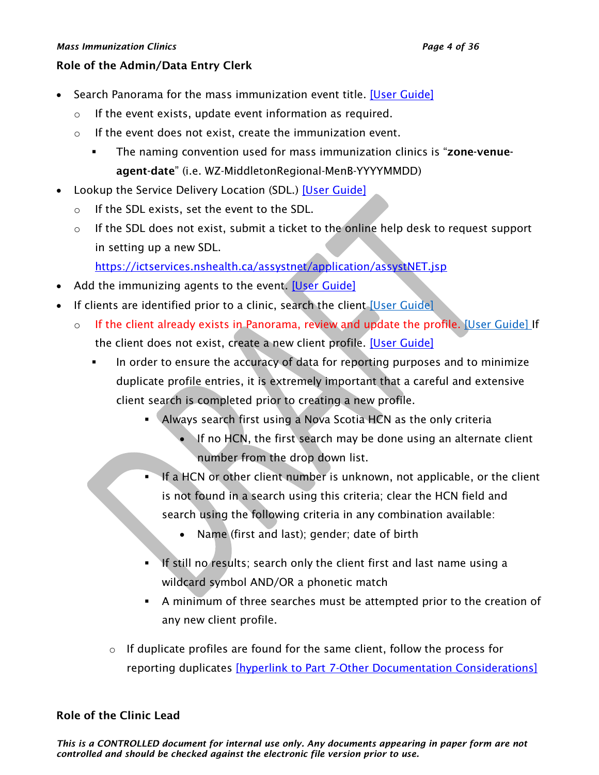#### *Mass Immunization Clinics Page 4 of 36*

#### Role of the Admin/Data Entry Clerk

- Search Panorama for the mass immunization event title. [\[User Guide\]](https://support.novascotia.ca/sites/default/files/docs/immunization-user-guides/PNS%20User%20Guide%20IMM%20202%20-%20Mass%20Immunization%20Events.pdf)
	- o If the event exists, update event information as required.
	- o If the event does not exist, create the immunization event.
		- **•** The naming convention used for mass immunization clinics is "**zone-venue**agent-date" (i.e. WZ-MiddletonRegional-MenB-YYYYMMDD)
- Lookup the Service Delivery Location (SDL.) [\[User Guide\]](https://support.novascotia.ca/sites/default/files/docs/immunization-user-guides/PNS%20User%20Guide%20IMM%20202%20-%20Mass%20Immunization%20Events.pdf)
	- o If the SDL exists, set the event to the SDL.
	- o If the SDL does not exist, submit a ticket to the online help desk to request support in setting up a new SDL.

<https://ictservices.nshealth.ca/assystnet/application/assystNET.jsp>

- Add the immunizing agents to the event. [\[User Guide\]](https://support.novascotia.ca/sites/default/files/docs/immunization-user-guides/PNS%20User%20Guide%20IMM%20202%20-%20Mass%20Immunization%20Events.pdf)
- If clients are identified prior to a clinic, search the client [\[User Guide\]](https://support.novascotia.ca/sites/default/files/docs/immunization-user-guides/PNS%20User%20Guide%20CLT%20101%20-%20Basic%20Client%20Records%20Management.pdf)
	- o If the client already exists in Panorama, review and update the profile. [\[User Guide\]](https://support.novascotia.ca/sites/default/files/docs/immunization-user-guides/PNS%20User%20Guide%20CLT%20101%20-%20Basic%20Client%20Records%20Management.pdf) If the client does not exist, create a new client profile. [\[User Guide\]](https://support.novascotia.ca/sites/default/files/docs/immunization-user-guides/PNS%20User%20Guide%20CLT%20102-%20Advanced%20Client%20Records%20Management.pdf)
		- In order to ensure the accuracy of data for reporting purposes and to minimize duplicate profile entries, it is extremely important that a careful and extensive client search is completed prior to creating a new profile.
			- Always search first using a Nova Scotia HCN as the only criteria
				- If no HCN, the first search may be done using an alternate client number from the drop down list.
			- If a HCN or other client number is unknown, not applicable, or the client is not found in a search using this criteria; clear the HCN field and search using the following criteria in any combination available:
				- Name (first and last); gender; date of birth
			- If still no results; search only the client first and last name using a wildcard symbol AND/OR a phonetic match
			- A minimum of three searches must be attempted prior to the creation of any new client profile.
			- $\circ$  If duplicate profiles are found for the same client, follow the process for reporting duplicates [\[hyperlink to Part 7-Other Documentation Considerations\]](#page-11-0)

# Role of the Clinic Lead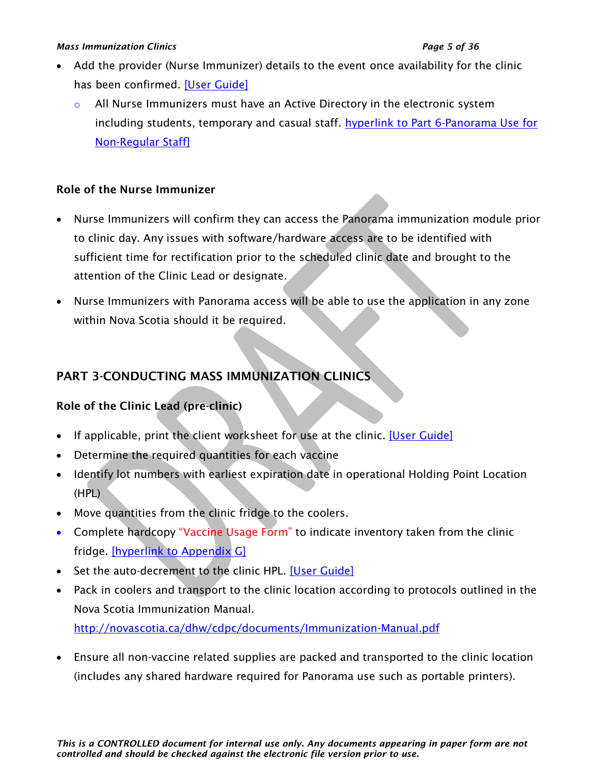#### *Mass Immunization Clinics Page 5 of 36*

- Add the provider (Nurse Immunizer) details to the event once availability for the clinic has been confirmed. [\[User Guide\]](https://support.novascotia.ca/sites/default/files/docs/immunization-user-guides/PNS%20User%20Guide%20IMM%20202%20-%20Mass%20Immunization%20Events.pdf)
	- $\circ$  All Nurse Immunizers must have an Active Directory in the electronic system including students, temporary and casual staff. hyperlink to Part 6-Panorama Use for [Non-Regular Staff\]](#page-7-0)

# Role of the Nurse Immunizer

- Nurse Immunizers will confirm they can access the Panorama immunization module prior to clinic day. Any issues with software/hardware access are to be identified with sufficient time for rectification prior to the scheduled clinic date and brought to the attention of the Clinic Lead or designate.
- Nurse Immunizers with Panorama access will be able to use the application in any zone within Nova Scotia should it be required.

# <span id="page-4-0"></span>PART 3-CONDUCTING MASS IMMUNIZATION CLINICS

# Role of the Clinic Lead (pre-clinic)

- If applicable, print the client worksheet for use at the clinic. [\[User Guide\]](https://support.novascotia.ca/sites/default/files/docs/immunization-user-guides/PNS%20User%20Guide%20IMM%20202%20-%20Mass%20Immunization%20Events.pdf)
- Determine the required quantities for each vaccine
- Identify lot numbers with earliest expiration date in operational Holding Point Location (HPL)
- Move quantities from the clinic fridge to the coolers.
- Complete hardcopy "Vaccine Usage Form" to indicate inventory taken from the clinic fridge. [\[hyperlink to Appendix G\]](#page-28-0)
- Set the auto-decrement to the clinic HPL. [\[User Guide\]](https://support.novascotia.ca/sites/default/files/docs/immunization-user-guides/PNS%20User%20Guide%20IMM%20202%20-%20Mass%20Immunization%20Events.pdf)
- Pack in coolers and transport to the clinic location according to protocols outlined in the Nova Scotia Immunization Manual.

<http://novascotia.ca/dhw/cdpc/documents/Immunization-Manual.pdf>

• Ensure all non-vaccine related supplies are packed and transported to the clinic location (includes any shared hardware required for Panorama use such as portable printers).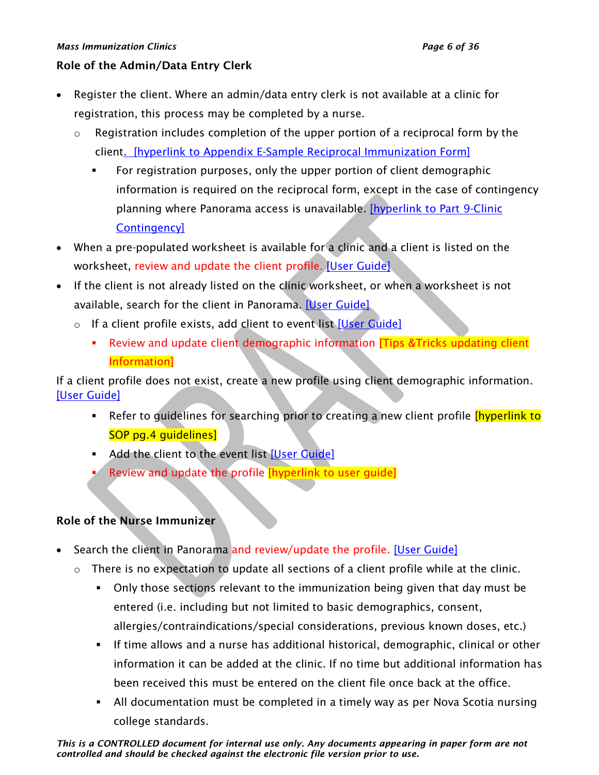#### *Mass Immunization Clinics Page 6 of 36*

### Role of the Admin/Data Entry Clerk

- Register the client. Where an admin/data entry clerk is not available at a clinic for registration, this process may be completed by a nurse.
	- $\circ$  Registration includes completion of the upper portion of a reciprocal form by the client. [\[hyperlink to Appendix E-Sample Reciprocal Immunization Form\]](#page-26-0)
		- For registration purposes, only the upper portion of client demographic information is required on the reciprocal form, except in the case of contingency planning where Panorama access is unavailable. **[hyperlink to Part 9-Clinic** [Contingency\]](#page-15-0)
- When a pre-populated worksheet is available for a clinic and a client is listed on the worksheet, review and update the client profile. [\[User Guide\]](https://support.novascotia.ca/sites/default/files/docs/immunization-user-guides/PNS%20User%20Guide%20IMM%20202%20-%20Mass%20Immunization%20Events.pdf).
- If the client is not already listed on the clinic worksheet, or when a worksheet is not available, search for the client in Panorama. [\[User Guide\]](https://support.novascotia.ca/sites/default/files/docs/immunization-user-guides/PNS%20User%20Guide%20IMM%20202%20-%20Mass%20Immunization%20Events.pdf)
	- o If a client profile exists, add client to event list [\[User Guide\]](https://support.novascotia.ca/sites/default/files/docs/immunization-user-guides/PNS%20User%20Guide%20IMM%20202%20-%20Mass%20Immunization%20Events.pdf)
		- **EXECT** Review and update client demographic information [Tips & Tricks updating client Information]

If a client profile does not exist, create a new profile using client demographic information. [\[User Guide\]](https://support.novascotia.ca/sites/default/files/docs/immunization-user-guides/PNS%20User%20Guide%20IMM%20101%20-%20Single%20Immunization.pdf)

- Refer to guidelines for searching prior to creating a new client profile *[hyperlink to*] SOP pg.4 guidelines]
- **EXECUTE:** Add the client to the event list [\[User Guide\]](https://support.novascotia.ca/sites/default/files/docs/immunization-user-guides/PNS%20User%20Guide%20IMM%20202%20-%20Mass%20Immunization%20Events.pdf)
- Review and update the profile *[hyperlink to user guide]*

# Role of the Nurse Immunizer

- Search the client in Panorama and review/update the profile. [\[User Guide\]](https://support.novascotia.ca/sites/default/files/docs/immunization-user-guides/PNS%20User%20Guide%20CLT%20102-%20Advanced%20Client%20Records%20Management.pdf)
	- o There is no expectation to update all sections of a client profile while at the clinic.
		- Only those sections relevant to the immunization being given that day must be entered (i.e. including but not limited to basic demographics, consent, allergies/contraindications/special considerations, previous known doses, etc.)
		- **.** If time allows and a nurse has additional historical, demographic, clinical or other information it can be added at the clinic. If no time but additional information has been received this must be entered on the client file once back at the office.
		- All documentation must be completed in a timely way as per Nova Scotia nursing college standards.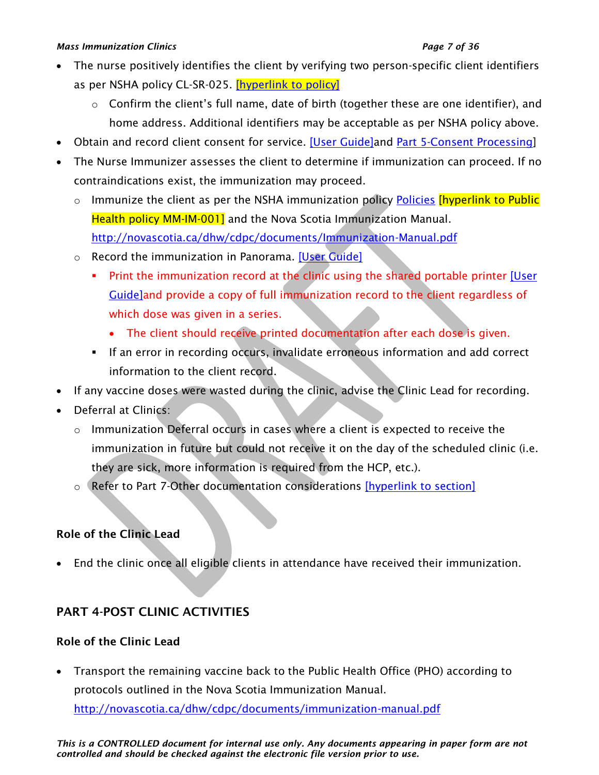#### *Mass Immunization Clinics Page 7 of 36*

- The nurse positively identifies the client by verifying two person-specific client identifiers as per NSHA policy CL-SR-025. **[hyperlink to policy]** 
	- o Confirm the client's full name, date of birth (together these are one identifier), and home address. Additional identifiers may be acceptable as per NSHA policy above.
- Obtain and record client consent for service. [\[User Guide\]a](https://support.novascotia.ca/sites/default/files/docs/immunization-user-guides/PNS%20User%20Guide%20IMM%20202%20-%20Mass%20Immunization%20Events.pdf)nd [Part 5-Consent Processing\]](#page-7-0)
- The Nurse Immunizer assesses the client to determine if immunization can proceed. If no contraindications exist, the immunization may proceed.
	- $\circ$  Immunize the client as per the NSHA immunization policy [Policies](#page-19-0) [hyperlink to Public Health policy MM-IM-001] and the Nova Scotia Immunization Manual. <http://novascotia.ca/dhw/cdpc/documents/Immunization-Manual.pdf>
	- o Record the immunization in Panorama. [\[User Guide\]](https://support.novascotia.ca/sites/default/files/docs/immunization-user-guides/PNS%20User%20Guide%20IMM%20202%20-%20Mass%20Immunization%20Events.pdf)
		- **•** Print the immunization record at the clinic using the shared portable printer [User] [Guide\]a](https://support.novascotia.ca/sites/default/files/docs/immunization-user-guides/PNS%20User%20Guide%20IMM%20104%20-%20Immunization%20Reports.pdf)nd provide a copy of full immunization record to the client regardless of which dose was given in a series.
			- The client should receive printed documentation after each dose is given.
		- **.** If an error in recording occurs, invalidate erroneous information and add correct information to the client record.
- If any vaccine doses were wasted during the clinic, advise the Clinic Lead for recording.
- Deferral at Clinics:
	- o Immunization Deferral occurs in cases where a client is expected to receive the immunization in future but could not receive it on the day of the scheduled clinic (i.e. they are sick, more information is required from the HCP, etc.).
	- o Refer to Part 7-Other documentation considerations [\[hyperlink to section\]](#page-11-0)

# Role of the Clinic Lead

• End the clinic once all eligible clients in attendance have received their immunization.

# <span id="page-6-0"></span>PART 4-POST CLINIC ACTIVITIES

# Role of the Clinic Lead

• Transport the remaining vaccine back to the Public Health Office (PHO) according to protocols outlined in the Nova Scotia Immunization Manual.

<http://novascotia.ca/dhw/cdpc/documents/immunization-manual.pdf>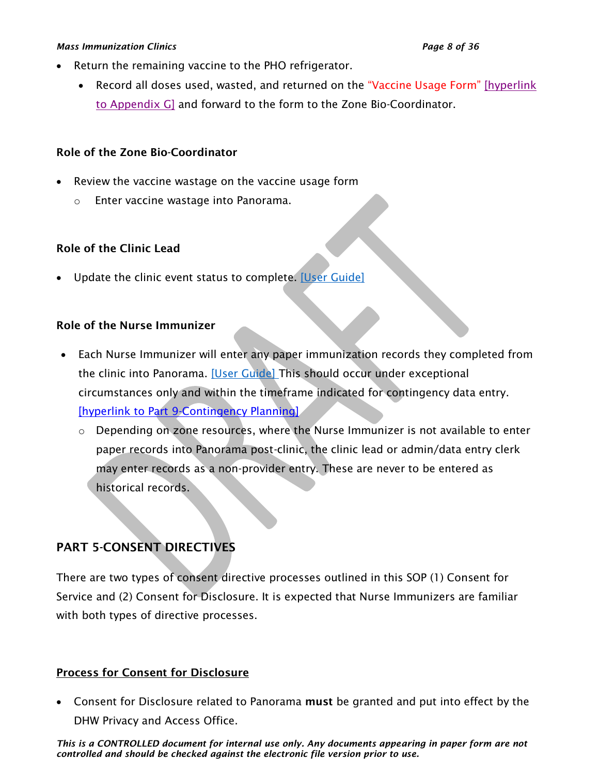#### *Mass Immunization Clinics Page 8 of 36*

- Return the remaining vaccine to the PHO refrigerator.
	- Record all doses used, wasted, and returned on the "Vaccine Usage Form" [hyperlink] [to Appendix G\]](#page-28-0) and forward to the form to the Zone Bio-Coordinator.

# Role of the Zone Bio-Coordinator

- Review the vaccine wastage on the vaccine usage form
	- o Enter vaccine wastage into Panorama.

# Role of the Clinic Lead

• Update the clinic event status to complete. [\[User Guide\]](https://support.novascotia.ca/sites/default/files/docs/immunization-user-guides/PNS%20User%20Guide%20IMM%20202%20-%20Mass%20Immunization%20Events.pdf)

# Role of the Nurse Immunizer

- Each Nurse Immunizer will enter any paper immunization records they completed from the clinic into Panorama. [\[User Guide\]](https://support.novascotia.ca/sites/default/files/docs/immunization-user-guides/PNS%20User%20Guide%20IMM%20202%20-%20Mass%20Immunization%20Events.pdf) This should occur under exceptional circumstances only and within the timeframe indicated for contingency data entry. [\[hyperlink to Part 9-Contingency Planning\]](#page-15-0)
	- o Depending on zone resources, where the Nurse Immunizer is not available to enter paper records into Panorama post-clinic, the clinic lead or admin/data entry clerk may enter records as a non-provider entry. These are never to be entered as historical records.

# <span id="page-7-0"></span>PART 5-CONSENT DIRECTIVES

There are two types of consent directive processes outlined in this SOP (1) Consent for Service and (2) Consent for Disclosure. It is expected that Nurse Immunizers are familiar with both types of directive processes.

# Process for Consent for Disclosure

• Consent for Disclosure related to Panorama must be granted and put into effect by the DHW Privacy and Access Office.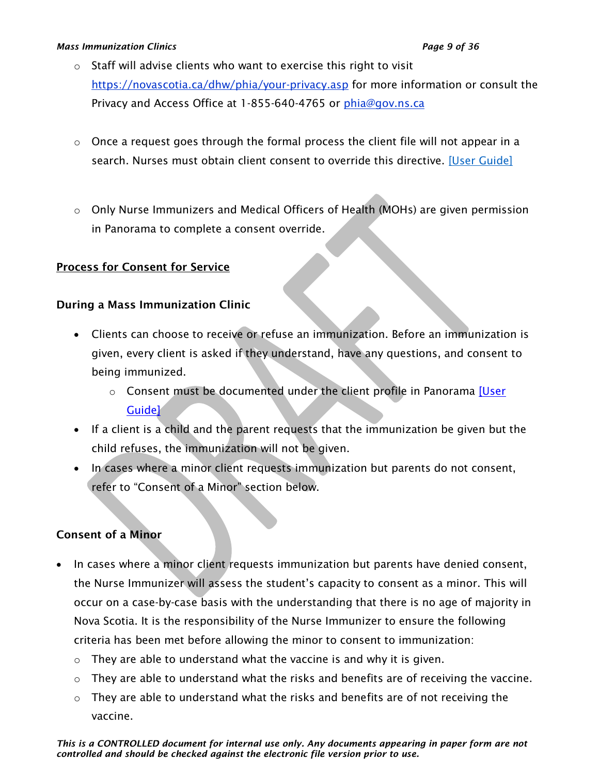#### *Mass Immunization Clinics Page 9 of 36*

- o Staff will advise clients who want to exercise this right to visit <https://novascotia.ca/dhw/phia/your-privacy.asp> for more information or consult the Privacy and Access Office at 1-855-640-4765 or [phia@gov.ns.ca](mailto:phia@gov.ns.ca)
- $\circ$  Once a request goes through the formal process the client file will not appear in a search. Nurses must obtain client consent to override this directive. [\[User Guide\]](https://support.novascotia.ca/sites/default/files/docs/immunization-user-guides/PNS%20User%20Guide%20CLT%20102-%20Advanced%20Client%20Records%20Management.pdf)
- o Only Nurse Immunizers and Medical Officers of Health (MOHs) are given permission in Panorama to complete a consent override.

## Process for Consent for Service

## During a Mass Immunization Clinic

- Clients can choose to receive or refuse an immunization. Before an immunization is given, every client is asked if they understand, have any questions, and consent to being immunized.
	- o Consent must be documented under the client profile in Panorama [User [Guide\]](https://support.novascotia.ca/sites/default/files/docs/immunization-user-guides/PNS%20User%20Guide%20IMM%20202%20-%20Mass%20Immunization%20Events.pdf)
- If a client is a child and the parent requests that the immunization be given but the child refuses, the immunization will not be given.
- In cases where a minor client requests immunization but parents do not consent, refer to "Consent of a Minor" section below.

## Consent of a Minor

- In cases where a minor client requests immunization but parents have denied consent, the Nurse Immunizer will assess the student's capacity to consent as a minor. This will occur on a case-by-case basis with the understanding that there is no age of majority in Nova Scotia. It is the responsibility of the Nurse Immunizer to ensure the following criteria has been met before allowing the minor to consent to immunization:
	- $\circ$  They are able to understand what the vaccine is and why it is given.
	- o They are able to understand what the risks and benefits are of receiving the vaccine.
	- $\circ$  They are able to understand what the risks and benefits are of not receiving the vaccine.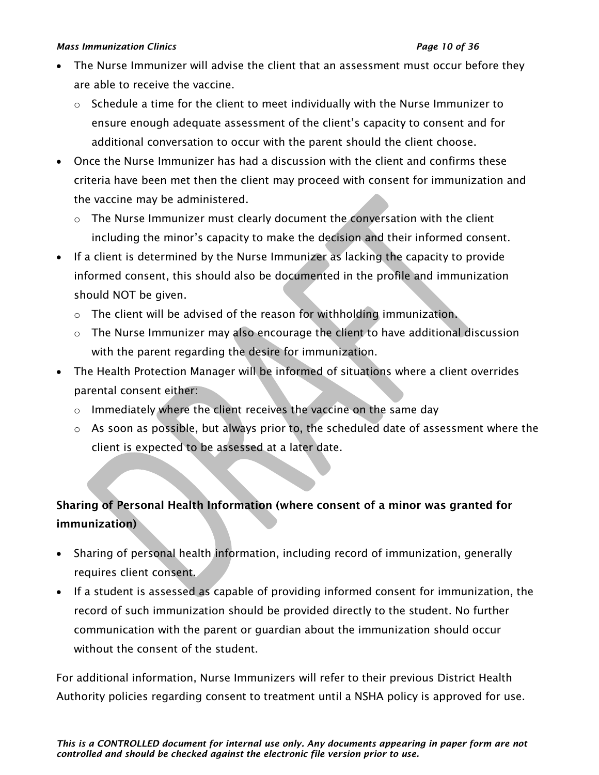#### *Mass Immunization Clinics Page 10 of 36*

- The Nurse Immunizer will advise the client that an assessment must occur before they are able to receive the vaccine.
	- $\circ$  Schedule a time for the client to meet individually with the Nurse Immunizer to ensure enough adequate assessment of the client's capacity to consent and for additional conversation to occur with the parent should the client choose.
- Once the Nurse Immunizer has had a discussion with the client and confirms these criteria have been met then the client may proceed with consent for immunization and the vaccine may be administered.
	- $\circ$  The Nurse Immunizer must clearly document the conversation with the client including the minor's capacity to make the decision and their informed consent.
- If a client is determined by the Nurse Immunizer as lacking the capacity to provide informed consent, this should also be documented in the profile and immunization should NOT be given.
	- $\circ$  The client will be advised of the reason for withholding immunization.
	- o The Nurse Immunizer may also encourage the client to have additional discussion with the parent regarding the desire for immunization.
- The Health Protection Manager will be informed of situations where a client overrides parental consent either:
	- o Immediately where the client receives the vaccine on the same day
	- o As soon as possible, but always prior to, the scheduled date of assessment where the client is expected to be assessed at a later date.

# Sharing of Personal Health Information (where consent of a minor was granted for immunization)

- Sharing of personal health information, including record of immunization, generally requires client consent.
- If a student is assessed as capable of providing informed consent for immunization, the record of such immunization should be provided directly to the student. No further communication with the parent or guardian about the immunization should occur without the consent of the student.

For additional information, Nurse Immunizers will refer to their previous District Health Authority policies regarding consent to treatment until a NSHA policy is approved for use.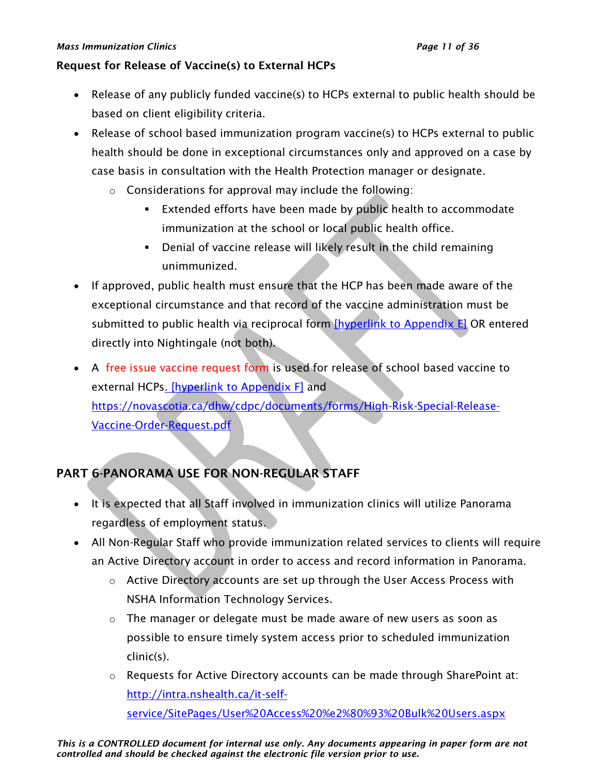#### *Mass Immunization Clinics Page 11 of 36*

### Request for Release of Vaccine(s) to External HCPs

- Release of any publicly funded vaccine(s) to HCPs external to public health should be based on client eligibility criteria.
- Release of school based immunization program vaccine(s) to HCPs external to public health should be done in exceptional circumstances only and approved on a case by case basis in consultation with the Health Protection manager or designate.
	- o Considerations for approval may include the following:
		- **Extended efforts have been made by public health to accommodate** immunization at the school or local public health office.
		- **EXECT** Denial of vaccine release will likely result in the child remaining unimmunized.
- If approved, public health must ensure that the HCP has been made aware of the exceptional circumstance and that record of the vaccine administration must be submitted to public health via reciprocal form [\[hyperlink to Appendix E\]](#page-26-0) OR entered directly into Nightingale (not both).
- A free issue vaccine request form is used for release of school based vaccine to external HCP[s. \[hyperlink to Appendix F\]](#page-27-0) and [https://novascotia.ca/dhw/cdpc/documents/forms/High-Risk-Special-Release-](https://novascotia.ca/dhw/cdpc/documents/forms/High-Risk-Special-Release-Vaccine-Order-Request.pdf)[Vaccine-Order-Request.pdf](https://novascotia.ca/dhw/cdpc/documents/forms/High-Risk-Special-Release-Vaccine-Order-Request.pdf)

# PART 6-PANORAMA USE FOR NON-REGULAR STAFF

- It is expected that all Staff involved in immunization clinics will utilize Panorama regardless of employment status.
- All Non-Regular Staff who provide immunization related services to clients will require an Active Directory account in order to access and record information in Panorama.
	- o Active Directory accounts are set up through the User Access Process with NSHA Information Technology Services.
	- o The manager or delegate must be made aware of new users as soon as possible to ensure timely system access prior to scheduled immunization clinic(s).
	- o Requests for Active Directory accounts can be made through SharePoint at: [http://intra.nshealth.ca/it-self](http://intra.nshealth.ca/it-self-service/SitePages/User%20Access%20%e2%80%93%20Bulk%20Users.aspx)[service/SitePages/User%20Access%20%e2%80%93%20Bulk%20Users.aspx](http://intra.nshealth.ca/it-self-service/SitePages/User%20Access%20%e2%80%93%20Bulk%20Users.aspx)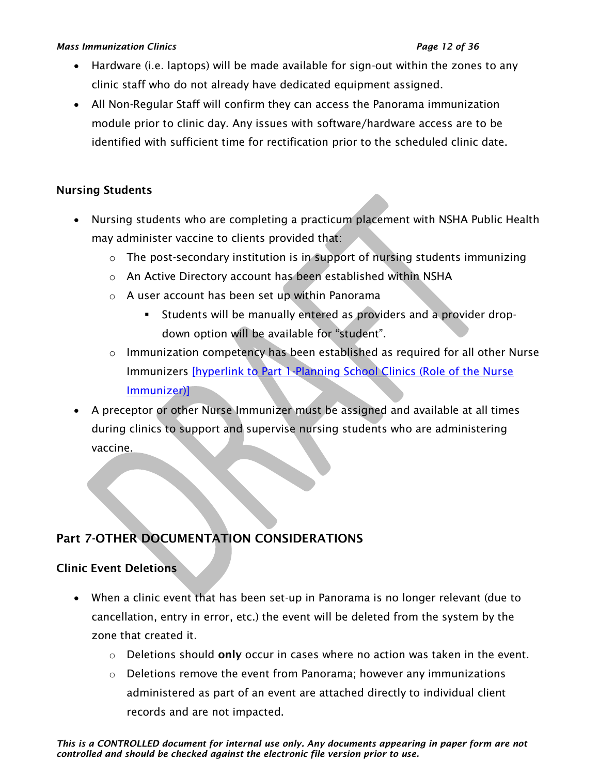#### *Mass Immunization Clinics Page 12 of 36*

- Hardware (i.e. laptops) will be made available for sign-out within the zones to any clinic staff who do not already have dedicated equipment assigned.
- All Non-Regular Staff will confirm they can access the Panorama immunization module prior to clinic day. Any issues with software/hardware access are to be identified with sufficient time for rectification prior to the scheduled clinic date.

# Nursing Students

- Nursing students who are completing a practicum placement with NSHA Public Health may administer vaccine to clients provided that:
	- o The post-secondary institution is in support of nursing students immunizing
	- o An Active Directory account has been established within NSHA
	- o A user account has been set up within Panorama
		- Students will be manually entered as providers and a provider dropdown option will be available for "student".
	- $\circ$  Immunization competency has been established as required for all other Nurse Immunizers [hyperlink to Part 1-Planning School Clinics (Role of the Nurse [Immunizer\)\]](#page-1-0)
- A preceptor or other Nurse Immunizer must be assigned and available at all times during clinics to support and supervise nursing students who are administering vaccine.

# <span id="page-11-0"></span>Part 7-OTHER DOCUMENTATION CONSIDERATIONS

# Clinic Event Deletions

- When a clinic event that has been set-up in Panorama is no longer relevant (due to cancellation, entry in error, etc.) the event will be deleted from the system by the zone that created it.
	- $\circ$  Deletions should only occur in cases where no action was taken in the event.
	- $\circ$  Deletions remove the event from Panorama; however any immunizations administered as part of an event are attached directly to individual client records and are not impacted.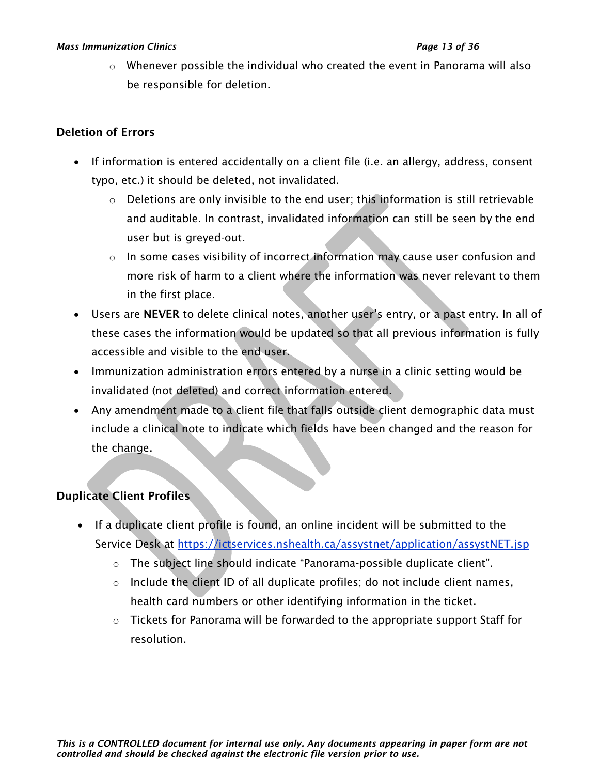#### *Mass Immunization Clinics Page 13 of 36*

 $\circ$  Whenever possible the individual who created the event in Panorama will also be responsible for deletion.

# Deletion of Errors

- If information is entered accidentally on a client file (i.e. an allergy, address, consent typo, etc.) it should be deleted, not invalidated.
	- $\circ$  Deletions are only invisible to the end user; this information is still retrievable and auditable. In contrast, invalidated information can still be seen by the end user but is greyed-out.
	- o In some cases visibility of incorrect information may cause user confusion and more risk of harm to a client where the information was never relevant to them in the first place.
- Users are NEVER to delete clinical notes, another user's entry, or a past entry. In all of these cases the information would be updated so that all previous information is fully accessible and visible to the end user.
- Immunization administration errors entered by a nurse in a clinic setting would be invalidated (not deleted) and correct information entered.
- Any amendment made to a client file that falls outside client demographic data must include a clinical note to indicate which fields have been changed and the reason for the change.

# Duplicate Client Profiles

- If a duplicate client profile is found, an online incident will be submitted to the Service Desk at<https://ictservices.nshealth.ca/assystnet/application/assystNET.jsp>
	- o The subject line should indicate "Panorama-possible duplicate client".
	- $\circ$  Include the client ID of all duplicate profiles; do not include client names, health card numbers or other identifying information in the ticket.
	- $\circ$  Tickets for Panorama will be forwarded to the appropriate support Staff for resolution.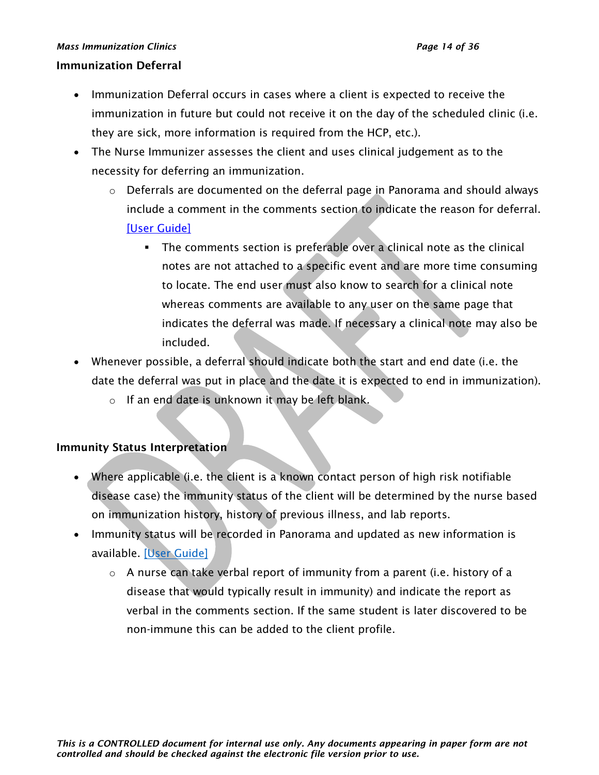#### *Mass Immunization Clinics Page 14 of 36*

## Immunization Deferral

- Immunization Deferral occurs in cases where a client is expected to receive the immunization in future but could not receive it on the day of the scheduled clinic (i.e. they are sick, more information is required from the HCP, etc.).
- The Nurse Immunizer assesses the client and uses clinical judgement as to the necessity for deferring an immunization.
	- $\circ$  Deferrals are documented on the deferral page in Panorama and should always include a comment in the comments section to indicate the reason for deferral. [\[User Guide\]](https://support.novascotia.ca/sites/default/files/docs/immunization-user-guides/PNS%20User%20Guide%20IMM%20202%20-%20Mass%20Immunization%20Events.pdf)
		- **•** The comments section is preferable over a clinical note as the clinical notes are not attached to a specific event and are more time consuming to locate. The end user must also know to search for a clinical note whereas comments are available to any user on the same page that indicates the deferral was made. If necessary a clinical note may also be included.
- Whenever possible, a deferral should indicate both the start and end date (i.e. the date the deferral was put in place and the date it is expected to end in immunization).
	- o If an end date is unknown it may be left blank.

## Immunity Status Interpretation

- Where applicable (i.e. the client is a known contact person of high risk notifiable disease case) the immunity status of the client will be determined by the nurse based on immunization history, history of previous illness, and lab reports.
- Immunity status will be recorded in Panorama and updated as new information is available. [\[User Guide\]](https://support.novascotia.ca/sites/default/files/docs/immunization-user-guides/PNS%20User%20Guide%20IMM%20101%20-%20Single%20Immunization.pdf)
	- $\circ$  A nurse can take verbal report of immunity from a parent (i.e. history of a disease that would typically result in immunity) and indicate the report as verbal in the comments section. If the same student is later discovered to be non-immune this can be added to the client profile.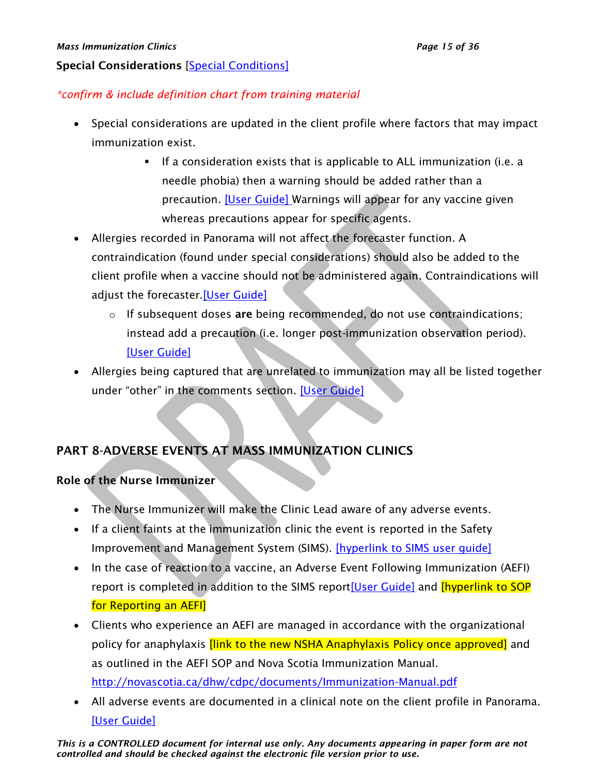## Special Considerations [\[Special Conditions\]](https://support.novascotia.ca/sites/default/files/docs/immunization-user-guides/Panorama%20Tips%20%26%20Tricks_Special%20Considerations.pdf)

# *\*confirm & include definition chart from training material*

- Special considerations are updated in the client profile where factors that may impact immunization exist.
	- If a consideration exists that is applicable to ALL immunization (i.e. a needle phobia) then a warning should be added rather than a precaution. [\[User Guide\]](https://support.novascotia.ca/sites/default/files/docs/immunization-user-guides/PNS%20User%20Guide%20CLT%20102-%20Advanced%20Client%20Records%20Management.pdf) Warnings will appear for any vaccine given whereas precautions appear for specific agents.
- Allergies recorded in Panorama will not affect the forecaster function. A contraindication (found under special considerations) should also be added to the client profile when a vaccine should not be administered again. Contraindications will adjust the forecaster[.\[User Guide\]](https://support.novascotia.ca/sites/default/files/docs/immunization-user-guides/PNS%20User%20Guide%20CLT%20102-%20Advanced%20Client%20Records%20Management.pdf)
	- $\circ$  If subsequent doses are being recommended, do not use contraindications; instead add a precaution (i.e. longer post-immunization observation period). [\[User Guide\]](https://support.novascotia.ca/sites/default/files/docs/immunization-user-guides/PNS%20User%20Guide%20CLT%20102-%20Advanced%20Client%20Records%20Management.pdf)
- Allergies being captured that are unrelated to immunization may all be listed together under "other" in the comments section. [\[User Guide\]](https://support.novascotia.ca/sites/default/files/docs/immunization-user-guides/PNS%20User%20Guide%20CLT%20102-%20Advanced%20Client%20Records%20Management.pdf)

# <span id="page-14-0"></span>PART 8-ADVERSE EVENTS AT MASS IMMUNIZATION CLINICS

## Role of the Nurse Immunizer

- The Nurse Immunizer will make the Clinic Lead aware of any adverse events.
- If a client faints at the immunization clinic the event is reported in the Safety Improvement and Management System (SIMS). [\[hyperlink to SIMS user guide\]](#page-29-0)
- In the case of reaction to a vaccine, an Adverse Event Following Immunization (AEFI) report is completed in addition to the SIMS repor[t\[User Guide\]](https://support.novascotia.ca/sites/default/files/docs/immunization-user-guides/PNS%20User%20Guide%20IMM%20202%20-%20Mass%20Immunization%20Events.pdf) and **[hyperlink to SOP** for Reporting an AEFI]
- Clients who experience an AEFI are managed in accordance with the organizational policy for anaphylaxis *[link to the new NSHA Anaphylaxis Policy once approved]* and as outlined in the AEFI SOP and Nova Scotia Immunization Manual. <http://novascotia.ca/dhw/cdpc/documents/Immunization-Manual.pdf>
- All adverse events are documented in a clinical note on the client profile in Panorama. [\[User Guide\]](https://support.novascotia.ca/sites/default/files/docs/immunization-user-guides/PNS%20User%20Guide%20CLT%20102-%20Advanced%20Client%20Records%20Management.pdf)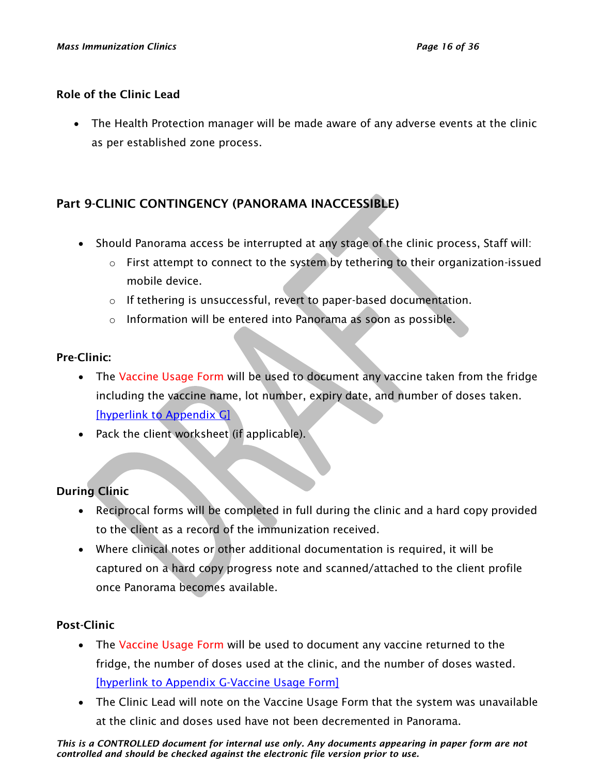### Role of the Clinic Lead

• The Health Protection manager will be made aware of any adverse events at the clinic as per established zone process.

# <span id="page-15-0"></span>Part 9-CLINIC CONTINGENCY (PANORAMA INACCESSIBLE)

- Should Panorama access be interrupted at any stage of the clinic process, Staff will:
	- $\circ$  First attempt to connect to the system by tethering to their organization-issued mobile device.
	- o If tethering is unsuccessful, revert to paper-based documentation.
	- o Information will be entered into Panorama as soon as possible.

## Pre-Clinic:

- The Vaccine Usage Form will be used to document any vaccine taken from the fridge including the vaccine name, lot number, expiry date, and number of doses taken. [\[hyperlink to Appendix G\]](#page-28-0)
- Pack the client worksheet (if applicable).

# During Clinic

- Reciprocal forms will be completed in full during the clinic and a hard copy provided to the client as a record of the immunization received.
- Where clinical notes or other additional documentation is required, it will be captured on a hard copy progress note and scanned/attached to the client profile once Panorama becomes available.

## Post-Clinic

- The Vaccine Usage Form will be used to document any vaccine returned to the fridge, the number of doses used at the clinic, and the number of doses wasted. [\[hyperlink to Appendix G-Vaccine Usage Form\]](#page-28-0)
- The Clinic Lead will note on the Vaccine Usage Form that the system was unavailable at the clinic and doses used have not been decremented in Panorama.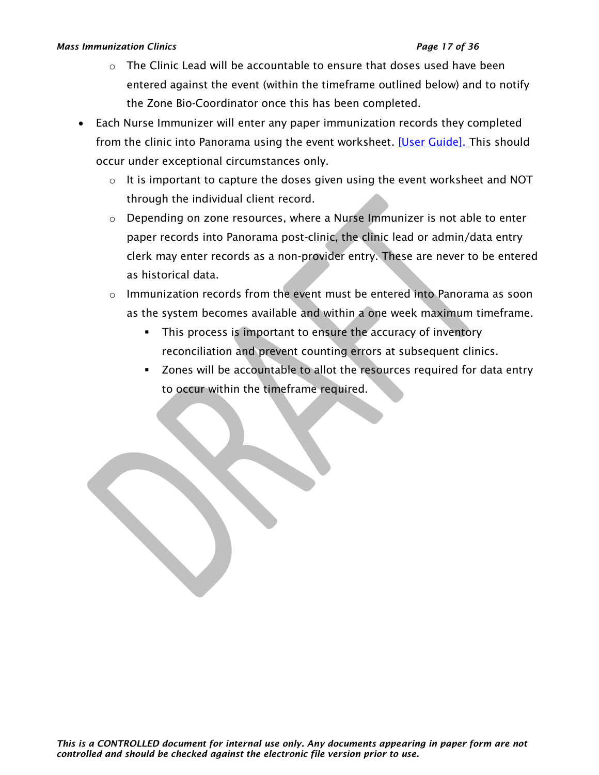#### *Mass Immunization Clinics Page 17 of 36*

- $\circ$  The Clinic Lead will be accountable to ensure that doses used have been entered against the event (within the timeframe outlined below) and to notify the Zone Bio-Coordinator once this has been completed.
- Each Nurse Immunizer will enter any paper immunization records they completed from the clinic into Panorama using the event worksheet. [\[User Guide\].](https://support.novascotia.ca/sites/default/files/docs/immunization-user-guides/PNS%20User%20Guide%20IMM%20202%20-%20Mass%20Immunization%20Events.pdf) This should occur under exceptional circumstances only.
	- $\circ$  It is important to capture the doses given using the event worksheet and NOT through the individual client record.
	- o Depending on zone resources, where a Nurse Immunizer is not able to enter paper records into Panorama post-clinic, the clinic lead or admin/data entry clerk may enter records as a non-provider entry. These are never to be entered as historical data.
	- $\circ$  Immunization records from the event must be entered into Panorama as soon as the system becomes available and within a one week maximum timeframe.
		- **.** This process is important to ensure the accuracy of inventory reconciliation and prevent counting errors at subsequent clinics.
		- Zones will be accountable to allot the resources required for data entry to occur within the timeframe required.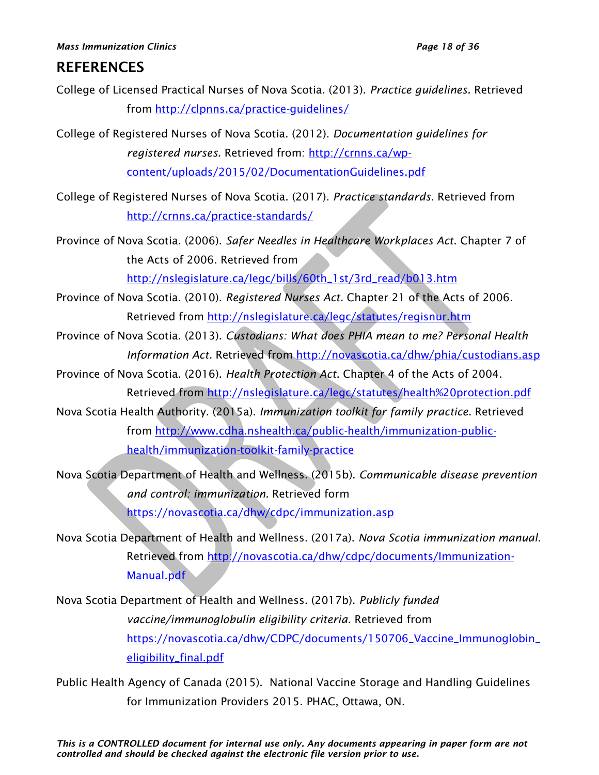# **REFERENCES**

- College of Licensed Practical Nurses of Nova Scotia. (2013). *Practice guidelines.* Retrieved from<http://clpnns.ca/practice-guidelines/>
- College of Registered Nurses of Nova Scotia. (2012). *Documentation guidelines for registered nurses.* Retrieved from: [http://crnns.ca/wp](http://crnns.ca/wp-content/uploads/2015/02/DocumentationGuidelines.pdf)[content/uploads/2015/02/DocumentationGuidelines.pdf](http://crnns.ca/wp-content/uploads/2015/02/DocumentationGuidelines.pdf)
- College of Registered Nurses of Nova Scotia. (2017). *Practice standards*. Retrieved from <http://crnns.ca/practice-standards/>

Province of Nova Scotia. (2006). *Safer Needles in Healthcare Workplaces Act*. Chapter 7 of the Acts of 2006. Retrieved from [http://nslegislature.ca/legc/bills/60th\\_1st/3rd\\_read/b013.htm](http://nslegislature.ca/legc/bills/60th_1st/3rd_read/b013.htm)

- Province of Nova Scotia. (2010). *Registered Nurses Act.* Chapter 21 of the Acts of 2006. Retrieved from<http://nslegislature.ca/legc/statutes/regisnur.htm>
- Province of Nova Scotia. (2013). *Custodians: What does PHIA mean to me? Personal Health Information Act.* Retrieved from<http://novascotia.ca/dhw/phia/custodians.asp>
- Province of Nova Scotia. (2016). *Health Protection Act.* Chapter 4 of the Acts of 2004. Retrieved from<http://nslegislature.ca/legc/statutes/health%20protection.pdf>
- Nova Scotia Health Authority. (2015a). *Immunization toolkit for family practice*. Retrieved from [http://www.cdha.nshealth.ca/public-health/immunization-public](http://www.cdha.nshealth.ca/public-health/immunization-public-health/immunization-toolkit-family-practice)[health/immunization-toolkit-family-practice](http://www.cdha.nshealth.ca/public-health/immunization-public-health/immunization-toolkit-family-practice)
- Nova Scotia Department of Health and Wellness. (2015b). *Communicable disease prevention and control: immunization.* Retrieved form <https://novascotia.ca/dhw/cdpc/immunization.asp>
- Nova Scotia Department of Health and Wellness. (2017a). *Nova Scotia immunization manual*. Retrieved from [http://novascotia.ca/dhw/cdpc/documents/Immunization-](http://novascotia.ca/dhw/cdpc/documents/Immunization-Manual.pdf)[Manual.pdf](http://novascotia.ca/dhw/cdpc/documents/Immunization-Manual.pdf)
- Nova Scotia Department of Health and Wellness. (2017b). *Publicly funded vaccine/immunoglobulin eligibility criteria.* Retrieved from [https://novascotia.ca/dhw/CDPC/documents/150706\\_Vaccine\\_Immunoglobin\\_](https://novascotia.ca/dhw/CDPC/documents/150706_Vaccine_Immunoglobin_eligibility_final.pdf) [eligibility\\_final.pdf](https://novascotia.ca/dhw/CDPC/documents/150706_Vaccine_Immunoglobin_eligibility_final.pdf)
- Public Health Agency of Canada (2015). National Vaccine Storage and Handling Guidelines for Immunization Providers 2015. PHAC, Ottawa, ON.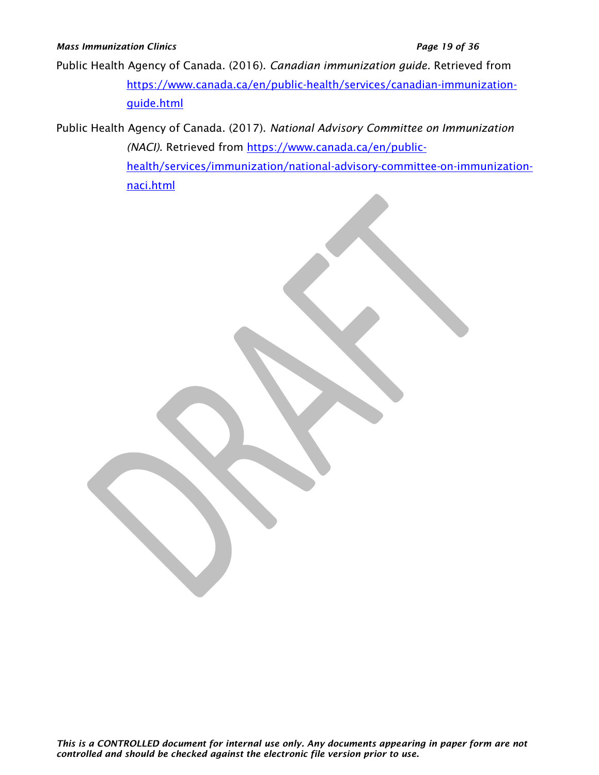Public Health Agency of Canada. (2016). *Canadian immunization guide.* Retrieved from [https://www.canada.ca/en/public-health/services/canadian-immunization](https://www.canada.ca/en/public-health/services/canadian-immunization-guide.html)[guide.html](https://www.canada.ca/en/public-health/services/canadian-immunization-guide.html)

Public Health Agency of Canada. (2017). *National Advisory Committee on Immunization (NACI)*. Retrieved from [https://www.canada.ca/en/public](https://www.canada.ca/en/public-health/services/immunization/national-advisory-committee-on-immunization-naci.html)[health/services/immunization/national-advisory-committee-on-immunization](https://www.canada.ca/en/public-health/services/immunization/national-advisory-committee-on-immunization-naci.html)[naci.html](https://www.canada.ca/en/public-health/services/immunization/national-advisory-committee-on-immunization-naci.html)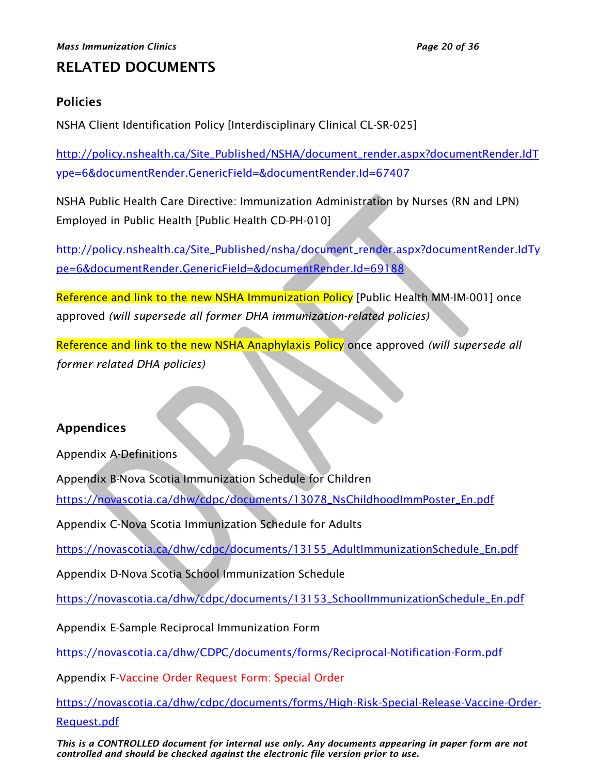# RELATED DOCUMENTS

# <span id="page-19-0"></span>Policies

NSHA Client Identification Policy [Interdisciplinary Clinical CL-SR-025]

[http://policy.nshealth.ca/Site\\_Published/NSHA/document\\_render.aspx?documentRender.IdT](http://policy.nshealth.ca/Site_Published/NSHA/document_render.aspx?documentRender.IdType=6&documentRender.GenericField=&documentRender.Id=67407) [ype=6&documentRender.GenericField=&documentRender.Id=67407](http://policy.nshealth.ca/Site_Published/NSHA/document_render.aspx?documentRender.IdType=6&documentRender.GenericField=&documentRender.Id=67407)

NSHA Public Health Care Directive: Immunization Administration by Nurses (RN and LPN) Employed in Public Health [Public Health CD-PH-010]

[http://policy.nshealth.ca/Site\\_Published/nsha/document\\_render.aspx?documentRender.IdTy](http://policy.nshealth.ca/Site_Published/nsha/document_render.aspx?documentRender.IdType=6&documentRender.GenericField=&documentRender.Id=69188) [pe=6&documentRender.GenericField=&documentRender.Id=69188](http://policy.nshealth.ca/Site_Published/nsha/document_render.aspx?documentRender.IdType=6&documentRender.GenericField=&documentRender.Id=69188)

Reference and link to the new NSHA Immunization Policy [Public Health MM-IM-0011 once approved *(will supersede all former DHA immunization-related policies)*

Reference and link to the new NSHA Anaphylaxis Policy once approved *(will supersede all former related DHA policies)*

# <span id="page-19-1"></span>Appendices

Appendix A-Definitions

Appendix B-Nova Scotia Immunization Schedule for Children

[https://novascotia.ca/dhw/cdpc/documents/13078\\_NsChildhoodImmPoster\\_En.pdf](https://novascotia.ca/dhw/cdpc/documents/13078_NsChildhoodImmPoster_En.pdf)

Appendix C-Nova Scotia Immunization Schedule for Adults

[https://novascotia.ca/dhw/cdpc/documents/13155\\_AdultImmunizationSchedule\\_En.pdf](https://novascotia.ca/dhw/cdpc/documents/13155_AdultImmunizationSchedule_En.pdf)

Appendix D-Nova Scotia School Immunization Schedule

[https://novascotia.ca/dhw/cdpc/documents/13153\\_SchoolImmunizationSchedule\\_En.pdf](https://novascotia.ca/dhw/cdpc/documents/13153_SchoolImmunizationSchedule_En.pdf)

Appendix E-Sample Reciprocal Immunization Form

<https://novascotia.ca/dhw/CDPC/documents/forms/Reciprocal-Notification-Form.pdf>

Appendix F-Vaccine Order Request Form: Special Order

[https://novascotia.ca/dhw/cdpc/documents/forms/High-Risk-Special-Release-Vaccine-Order-](https://novascotia.ca/dhw/cdpc/documents/forms/High-Risk-Special-Release-Vaccine-Order-Request.pdf)[Request.pdf](https://novascotia.ca/dhw/cdpc/documents/forms/High-Risk-Special-Release-Vaccine-Order-Request.pdf)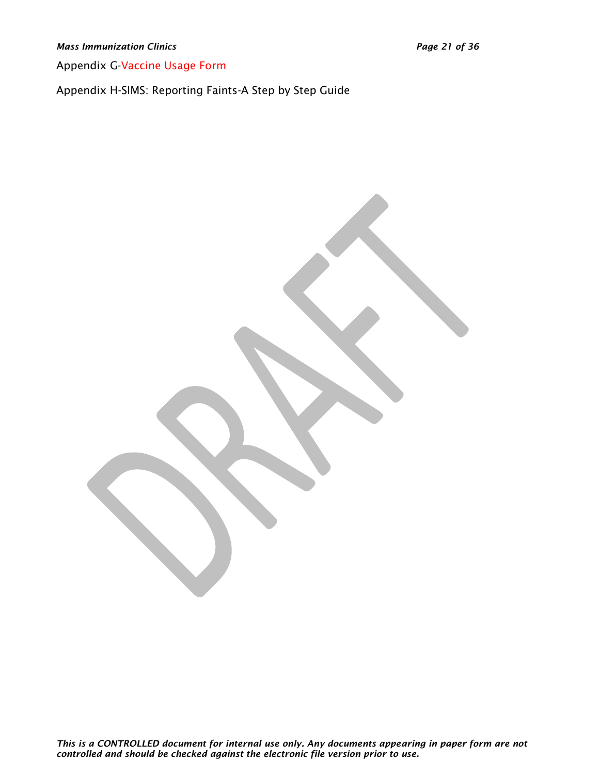*Mass Immunization Clinics Page 21 of 36*

Appendix G-Vaccine Usage Form

Appendix H-SIMS: Reporting Faints-A Step by Step Guide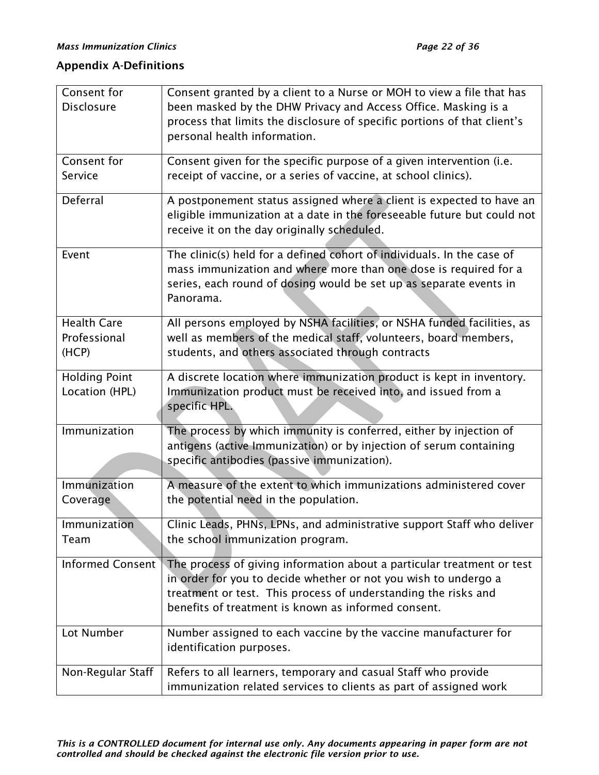# <span id="page-21-0"></span>Appendix A-Definitions

| Consent for                            | Consent granted by a client to a Nurse or MOH to view a file that has    |
|----------------------------------------|--------------------------------------------------------------------------|
| <b>Disclosure</b>                      | been masked by the DHW Privacy and Access Office. Masking is a           |
|                                        | process that limits the disclosure of specific portions of that client's |
|                                        | personal health information.                                             |
|                                        |                                                                          |
| Consent for                            | Consent given for the specific purpose of a given intervention (i.e.     |
| Service                                | receipt of vaccine, or a series of vaccine, at school clinics).          |
| Deferral                               | A postponement status assigned where a client is expected to have an     |
|                                        | eligible immunization at a date in the foreseeable future but could not  |
|                                        | receive it on the day originally scheduled.                              |
| Event                                  | The clinic(s) held for a defined cohort of individuals. In the case of   |
|                                        | mass immunization and where more than one dose is required for a         |
|                                        | series, each round of dosing would be set up as separate events in       |
|                                        | Panorama.                                                                |
|                                        |                                                                          |
| <b>Health Care</b>                     | All persons employed by NSHA facilities, or NSHA funded facilities, as   |
| Professional                           | well as members of the medical staff, volunteers, board members,         |
| (HCP)                                  | students, and others associated through contracts                        |
|                                        | A discrete location where immunization product is kept in inventory.     |
| <b>Holding Point</b><br>Location (HPL) | Immunization product must be received into, and issued from a            |
|                                        | specific HPL.                                                            |
|                                        |                                                                          |
| Immunization                           | The process by which immunity is conferred, either by injection of       |
|                                        | antigens (active Immunization) or by injection of serum containing       |
|                                        | specific antibodies (passive immunization).                              |
| Immunization                           | A measure of the extent to which immunizations administered cover        |
| Coverage                               | the potential need in the population.                                    |
|                                        |                                                                          |
| Immunization                           | Clinic Leads, PHNs, LPNs, and administrative support Staff who deliver   |
| Team                                   | the school immunization program.                                         |
| Informed Consent                       | The process of giving information about a particular treatment or test   |
|                                        | in order for you to decide whether or not you wish to undergo a          |
|                                        | treatment or test. This process of understanding the risks and           |
|                                        | benefits of treatment is known as informed consent.                      |
|                                        |                                                                          |
| Lot Number                             | Number assigned to each vaccine by the vaccine manufacturer for          |
|                                        | identification purposes.                                                 |
| Non-Regular Staff                      | Refers to all learners, temporary and casual Staff who provide           |
|                                        | immunization related services to clients as part of assigned work        |
|                                        |                                                                          |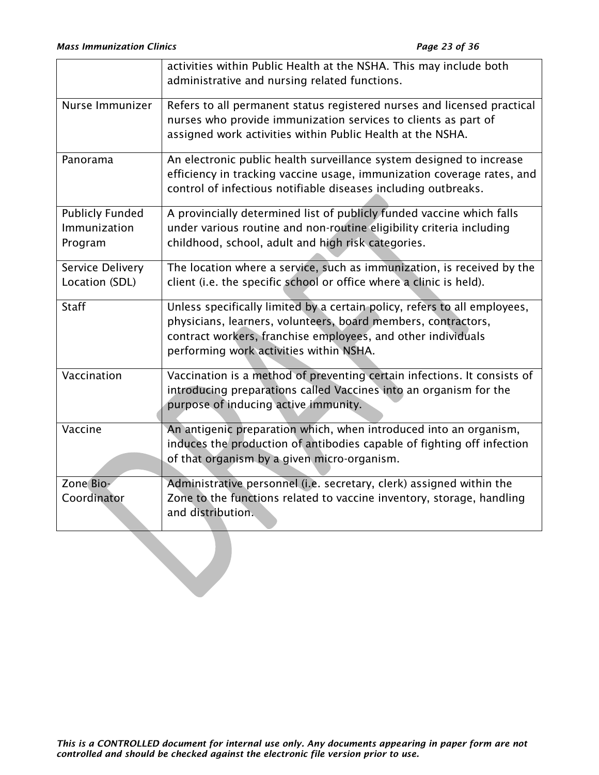|                                                   | activities within Public Health at the NSHA. This may include both<br>administrative and nursing related functions.                                                                                                                                   |
|---------------------------------------------------|-------------------------------------------------------------------------------------------------------------------------------------------------------------------------------------------------------------------------------------------------------|
| Nurse Immunizer                                   | Refers to all permanent status registered nurses and licensed practical<br>nurses who provide immunization services to clients as part of<br>assigned work activities within Public Health at the NSHA.                                               |
| Panorama                                          | An electronic public health surveillance system designed to increase<br>efficiency in tracking vaccine usage, immunization coverage rates, and<br>control of infectious notifiable diseases including outbreaks.                                      |
| <b>Publicly Funded</b><br>Immunization<br>Program | A provincially determined list of publicly funded vaccine which falls<br>under various routine and non-routine eligibility criteria including<br>childhood, school, adult and high risk categories.                                                   |
| Service Delivery<br>Location (SDL)                | The location where a service, such as immunization, is received by the<br>client (i.e. the specific school or office where a clinic is held).                                                                                                         |
| <b>Staff</b>                                      | Unless specifically limited by a certain policy, refers to all employees,<br>physicians, learners, volunteers, board members, contractors,<br>contract workers, franchise employees, and other individuals<br>performing work activities within NSHA. |
| Vaccination                                       | Vaccination is a method of preventing certain infections. It consists of<br>introducing preparations called Vaccines into an organism for the<br>purpose of inducing active immunity.                                                                 |
| Vaccine                                           | An antigenic preparation which, when introduced into an organism,<br>induces the production of antibodies capable of fighting off infection<br>of that organism by a given micro-organism.                                                            |
| Zone Bio-<br>Coordinator                          | Administrative personnel (i.e. secretary, clerk) assigned within the<br>Zone to the functions related to vaccine inventory, storage, handling<br>and distribution.                                                                                    |
|                                                   |                                                                                                                                                                                                                                                       |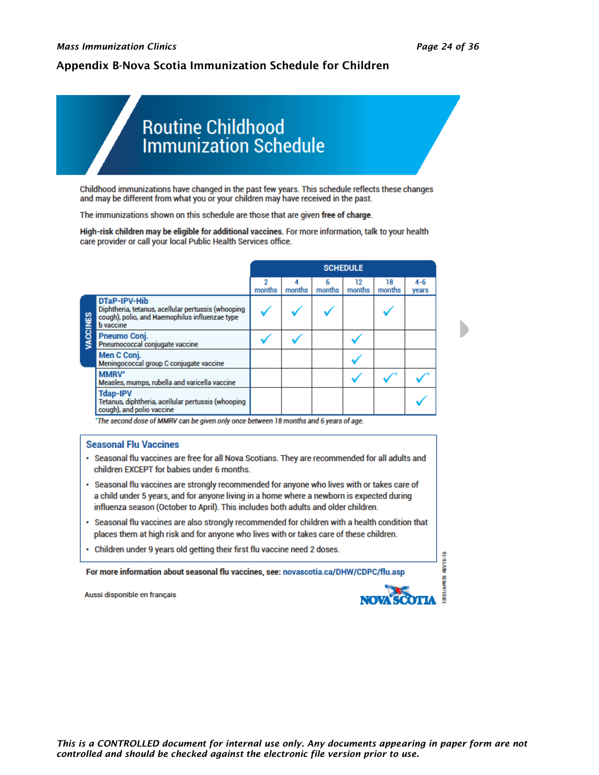#### <span id="page-23-0"></span>Appendix B-Nova Scotia Immunization Schedule for Children

# **Routine Childhood Immunization Schedule**

Childhood immunizations have changed in the past few years. This schedule reflects these changes and may be different from what you or your children may have received in the past.

The immunizations shown on this schedule are those that are given free of charge.

High-risk children may be eligible for additional vaccines. For more information, talk to your health care provider or call your local Public Health Services office.

|        |                                                                                                                                          |             |        |             | <b>SCHEDULE</b> |              |                  |
|--------|------------------------------------------------------------------------------------------------------------------------------------------|-------------|--------|-------------|-----------------|--------------|------------------|
|        |                                                                                                                                          | 2<br>months | months | 6<br>months | 12<br>months    | 18<br>months | $4 - 6$<br>years |
| CCINES | DTaP-IPV-Hib<br>Diphtheria, tetanus, acellular pertussis (whooping<br>cough), polio, and Haemophilus influenzae type<br><b>b</b> vaccine |             |        |             |                 |              |                  |
|        | <b>Pneumo Coni.</b><br>Pneumococcal conjugate vaccine                                                                                    |             |        |             |                 |              |                  |
|        | Men C Conj.<br>Meningococcal group C conjugate vaccine                                                                                   |             |        |             |                 |              |                  |
|        | MMRV*<br>Measles, mumps, rubella and varicella vaccine                                                                                   |             |        |             |                 |              |                  |
|        | <b>Tdap-IPV</b><br>Tetanus, diphtheria, acellular pertussis (whooping<br>cough), and polio vaccine                                       |             |        |             |                 |              |                  |

\*The second dose of MMRV can be given only once between 18 months and 6 years of age.

#### **Seasonal Flu Vaccines**

- · Seasonal flu vaccines are free for all Nova Scotians. They are recommended for all adults and children EXCEPT for babies under 6 months.
- · Seasonal flu vaccines are strongly recommended for anyone who lives with or takes care of a child under 5 years, and for anyone living in a home where a newborn is expected during influenza season (October to April). This includes both adults and older children.
- . Seasonal flu vaccines are also strongly recommended for children with a health condition that places them at high risk and for anyone who lives with or takes care of these children.
- Children under 9 years old getting their first flu vaccine need 2 doses.

For more information about seasonal flu vaccines, see: novascotia.ca/DHW/CDPC/flu.asp

Aussi disponible en français



**REV15-16**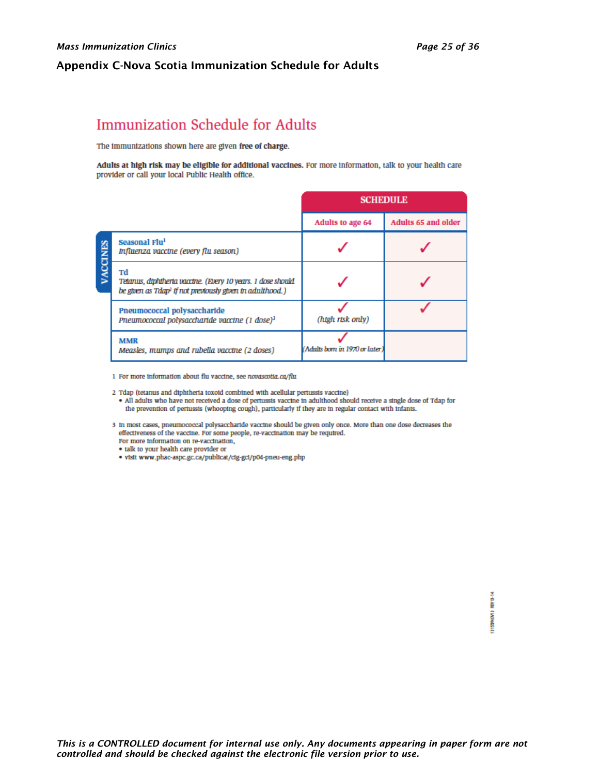#### <span id="page-24-0"></span>Appendix C-Nova Scotia Immunization Schedule for Adults

# Immunization Schedule for Adults

The immunizations shown here are given free of charge.

Adults at high risk may be eligible for additional vaccines. For more information, talk to your health care provider or call your local Public Health office.

|                 |                                                                                                                                           | <b>SCHEDULE</b>                |                     |
|-----------------|-------------------------------------------------------------------------------------------------------------------------------------------|--------------------------------|---------------------|
|                 |                                                                                                                                           | Adults to age 64               | Adults 65 and older |
|                 | Seasonal Flu <sup>1</sup><br>Influenza vaccine (every flu season)                                                                         |                                |                     |
| <b>VACCINES</b> | Tđ<br>Tetanus, diphiheria vaccine. (Every 10 years. 1 dose should<br>be given as Tdap <sup>2</sup> if not previously given in adulthood.) |                                |                     |
|                 | Pneumococcal polysaccharide<br>Prieumococcal polysaccharide vaccine (1 dose) <sup>3</sup>                                                 | (htgh rtsk only)               |                     |
|                 | <b>MMR</b><br>Measles, mumps and rubella vaccine (2 doses)                                                                                | (Adults born in 1970 or later) |                     |

1 For more information about flu vaccine, see novascotia.ca/flu

2 Tdap (tetanus and diphtheria toxoid combined with acellular pertussis vaccine)

- . All adults who have not received a dose of pertussis vaccine in adulthood should receive a single dose of Tdap for the prevention of pertussis (whooping cough), particularly if they are in regular contact with infants.
- 3 In most cases, pneumococcal polysaccharide vaccine should be given only once. More than one dose decreases the effectiveness of the vaccine. For some people, re-vaccination may be required. For more information on re-vaccination,
	- talk to your health care provider or
	- · visit www.phac-aspc.gc.ca/publicat/cig-gcl/p04-pneu-eng.php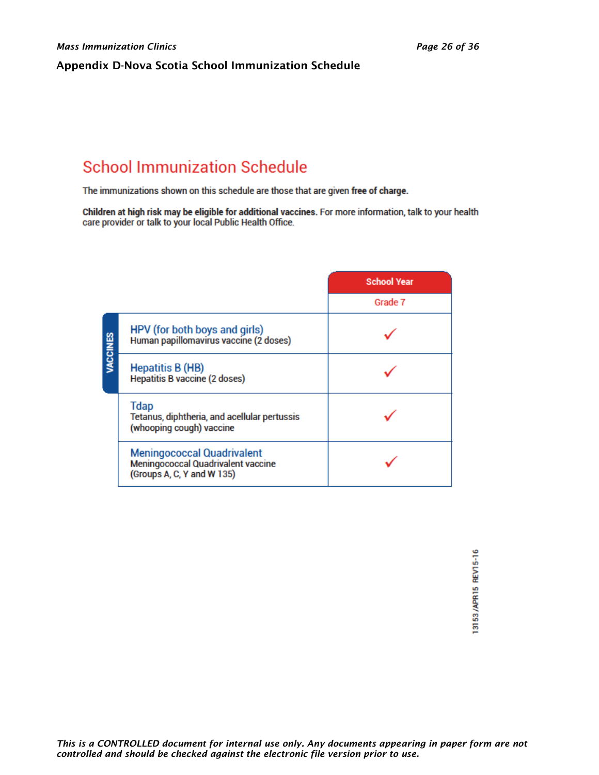#### <span id="page-25-0"></span>Appendix D-Nova Scotia School Immunization Schedule

# **School Immunization Schedule**

The immunizations shown on this schedule are those that are given free of charge.

Children at high risk may be eligible for additional vaccines. For more information, talk to your health care provider or talk to your local Public Health Office.

|          |                                                                                                              | <b>School Year</b> |
|----------|--------------------------------------------------------------------------------------------------------------|--------------------|
|          |                                                                                                              | Grade 7            |
| VACCINES | HPV (for both boys and girls)<br>Human papillomavirus vaccine (2 doses)                                      |                    |
|          | <b>Hepatitis B (HB)</b><br><b>Hepatitis B vaccine (2 doses)</b>                                              |                    |
|          | <b>Tdap</b><br>Tetanus, diphtheria, and acellular pertussis<br>(whooping cough) vaccine                      |                    |
|          | <b>Meningococcal Quadrivalent</b><br><b>Meningococcal Quadrivalent vaccine</b><br>(Groups A, C, Y and W 135) |                    |

13153/APR15 REV15-16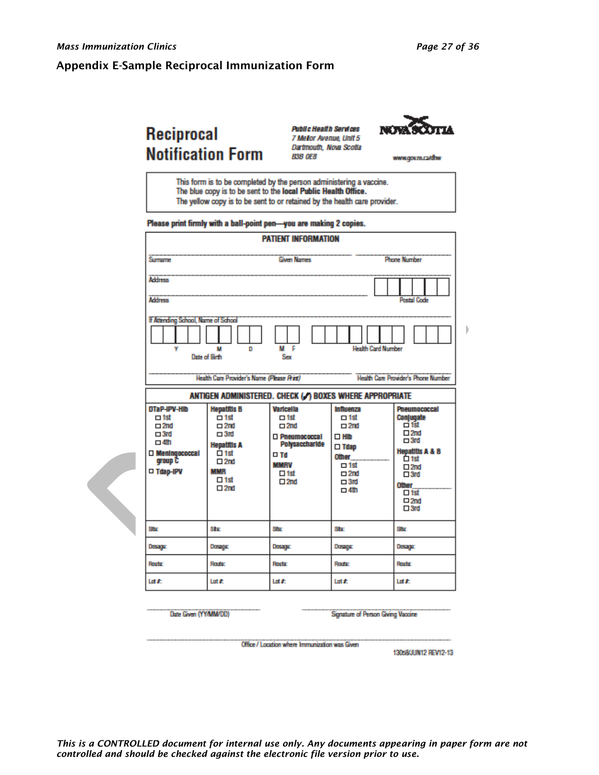b

#### <span id="page-26-0"></span>Appendix E-Sample Reciprocal Immunization Form

# Reciprocal **Notification Form**

**Public Health Services** 7 Mellor Avenue, Unit 5 Dartmouth, Nova Scotla **B3B OE8** 



www.gov.ns.ca/dhw

This form is to be completed by the person administering a vaccine. The blue copy is to be sent to the local Public Health Office. The yellow copy is to be sent to or retained by the health care provider.

Please print firmly with a ball-point pen-you are making 2 copies.

|                                                                                                                                                                                                                                                                                                                                                                                                                                                                                                                                                                                                                                                                                                                                                                                                                                                                                                                                                                                                     | <b>PATIENT INFORMATION</b>                |         |                    |                                                            |  |
|-----------------------------------------------------------------------------------------------------------------------------------------------------------------------------------------------------------------------------------------------------------------------------------------------------------------------------------------------------------------------------------------------------------------------------------------------------------------------------------------------------------------------------------------------------------------------------------------------------------------------------------------------------------------------------------------------------------------------------------------------------------------------------------------------------------------------------------------------------------------------------------------------------------------------------------------------------------------------------------------------------|-------------------------------------------|---------|--------------------|------------------------------------------------------------|--|
| Surrame                                                                                                                                                                                                                                                                                                                                                                                                                                                                                                                                                                                                                                                                                                                                                                                                                                                                                                                                                                                             | <b>Given Names</b><br><b>Phone Number</b> |         |                    |                                                            |  |
| <b>Address</b>                                                                                                                                                                                                                                                                                                                                                                                                                                                                                                                                                                                                                                                                                                                                                                                                                                                                                                                                                                                      |                                           |         |                    |                                                            |  |
| <b>Address</b><br><b>Postal Code</b><br>If Attending School, Name of School<br>M F<br><b>Health Card Number</b><br>v<br>M<br>D<br>Date of Rich<br>Sex<br>Health Care Provider's Name (Please Rint)<br><b>Health Care Provider's Phone Number</b><br>ANTIGEN ADMINISTERED. CHECK (.) BOXES WHERE APPROPRIATE<br>DTaP-IPV-HIb<br><b>Hepatitis B</b><br><b>Varicella</b><br>Influenza<br>$-1st$<br>$\Box$ 1st<br>$\Box$ 1st<br>$\Box$ 1st<br>Conjugate<br>□ 1st<br>$\square$ 2nd<br>$\square$ 2nd<br>$\square$ 2nd<br>$\square$ 2nd<br>$\square$ 2nd<br>$\Box$ 3rd<br>$\Box$ 3rd<br>□ Pneumococcal<br>$\square$ Hib<br>$\square$ 3rd<br>$\Box$ 4th<br>Polysaccharide<br><b>Hepatitis A</b><br>$\square$ Tdap<br>Meningococcal<br>$\overline{\Box}$ 1st<br>$\square$ Td<br>Other<br>Ô 1st<br>group <sup>2</sup><br>$\square$ 2nd<br><b>MMRV</b><br>$\Box$ 1st<br>$\square 2nd$<br>□ Tdap-IPV<br><b>MMR</b><br>$\Box$ 1st<br>$\square$ 2nd<br>$\square$ 3rd<br>$\Box$ 1st<br>$\square 2nd$<br>$\Box$ 3rd |                                           |         |                    | <b>Pneumococcal</b><br><b>Hepatitis A &amp; B</b><br>Other |  |
| Shop                                                                                                                                                                                                                                                                                                                                                                                                                                                                                                                                                                                                                                                                                                                                                                                                                                                                                                                                                                                                | $\square$ 2nd<br>Str                      | Shr     | $\Box$ 4th<br>Star | $\Box$ 1st<br>$\Box 2nd$<br>$\square$ 3rd<br>Shop          |  |
| Dosagar                                                                                                                                                                                                                                                                                                                                                                                                                                                                                                                                                                                                                                                                                                                                                                                                                                                                                                                                                                                             | Dosage                                    | Dosaga: | Dosage:            | Dosagar                                                    |  |
| Router                                                                                                                                                                                                                                                                                                                                                                                                                                                                                                                                                                                                                                                                                                                                                                                                                                                                                                                                                                                              | Route:                                    | Route   | <b>Route:</b>      | Route                                                      |  |
| Lot #:                                                                                                                                                                                                                                                                                                                                                                                                                                                                                                                                                                                                                                                                                                                                                                                                                                                                                                                                                                                              | Lot #                                     | Lot #:  | Lot #              | Lot #:                                                     |  |

Date Given (YY/MM/DD)

Signature of Person Giving Vaccine

Office / Location where Immunization was Given

130s8/JUN12 REV12-13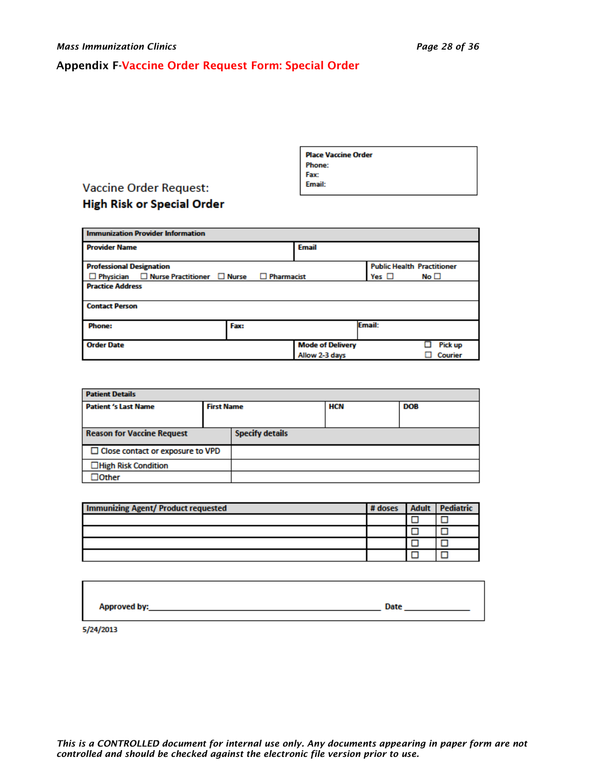# <span id="page-27-0"></span>Appendix F-Vaccine Order Request Form: Special Order

| I<br><b>Place Vaccine Order</b> |  |
|---------------------------------|--|
| L<br><b>Phone:</b>              |  |
| I<br>Fax:                       |  |
| L<br>Email:                     |  |
|                                 |  |

# **Vaccine Order Request: High Risk or Special Order**

| <b>Immunization Provider Information</b>                |                 |                         |                                   |              |
|---------------------------------------------------------|-----------------|-------------------------|-----------------------------------|--------------|
| <b>Provider Name</b>                                    |                 | <b>Email</b>            |                                   |              |
| <b>Professional Designation</b>                         |                 |                         | <b>Public Health Practitioner</b> |              |
| $\Box$ Physician $\Box$ Nurse Practitioner $\Box$ Nurse | Pharmacist<br>□ |                         | Yes $\Box$                        | No $\square$ |
| <b>Practice Address</b>                                 |                 |                         |                                   |              |
|                                                         |                 |                         |                                   |              |
| <b>Contact Person</b>                                   |                 |                         |                                   |              |
| <b>Phone:</b>                                           | Fax:            |                         | Email:                            |              |
| <b>Order Date</b>                                       |                 | <b>Mode of Delivery</b> |                                   | Pick up      |
|                                                         |                 | Allow 2-3 days          |                                   | Courier      |

| <b>Patient Details</b>                  |                   |                        |     |            |
|-----------------------------------------|-------------------|------------------------|-----|------------|
| <b>Patient 's Last Name</b>             | <b>First Name</b> |                        | HCN | <b>DOB</b> |
|                                         |                   |                        |     |            |
| <b>Reason for Vaccine Request</b>       |                   | <b>Specify details</b> |     |            |
| $\Box$ Close contact or exposure to VPD |                   |                        |     |            |
| □High Risk Condition                    |                   |                        |     |            |
| $J$ Other                               |                   |                        |     |            |

| <b>Immunizing Agent/ Product requested</b> | # doses | <b>Adult</b> Pediatric |
|--------------------------------------------|---------|------------------------|
|                                            |         |                        |
|                                            |         |                        |
|                                            |         |                        |
|                                            |         |                        |

| Approved by: | Date |
|--------------|------|
|              |      |

5/24/2013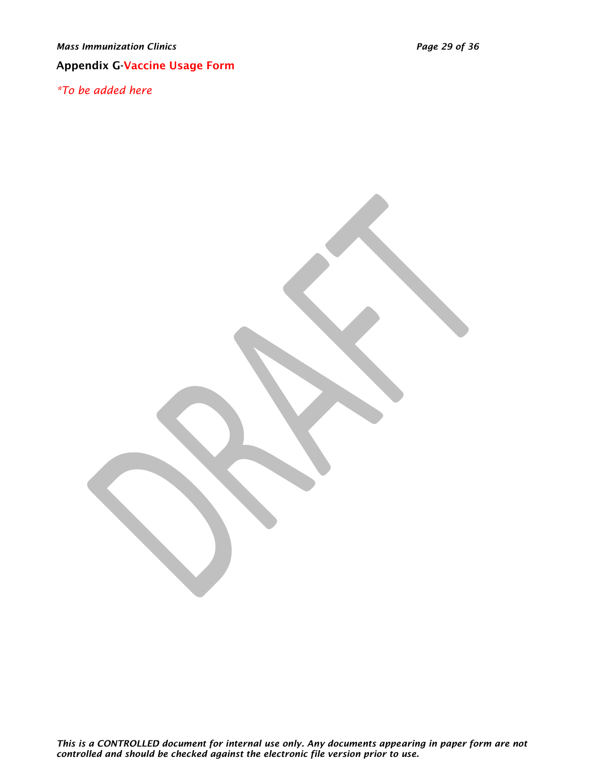# <span id="page-28-0"></span>Appendix G-Vaccine Usage Form

*\*To be added here*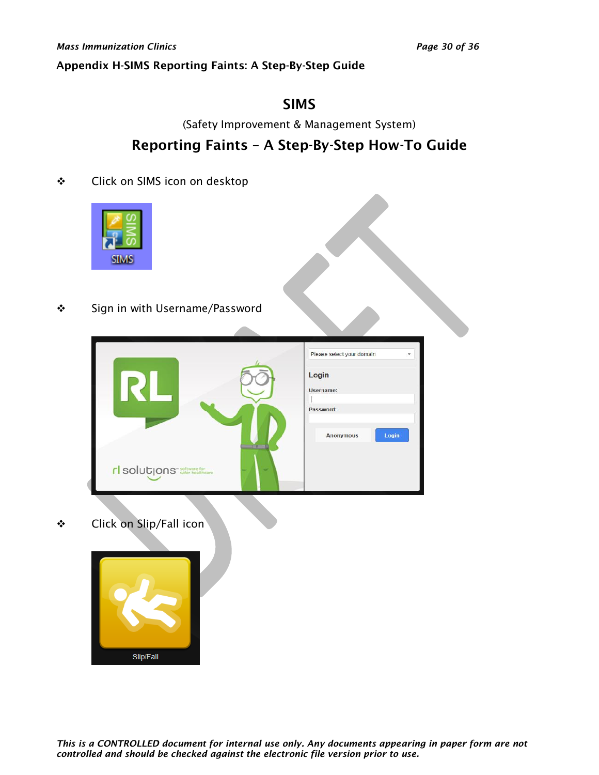#### <span id="page-29-0"></span>Appendix H-SIMS Reporting Faints: A Step-By-Step Guide

# SIMS

(Safety Improvement & Management System)

# Reporting Faints – A Step-By-Step How-To Guide

❖ Click on SIMS icon on desktop



❖ Sign in with Username/Password

|                                        |   | Please select your domain<br>÷ |
|----------------------------------------|---|--------------------------------|
|                                        |   | Login<br>Username:             |
|                                        |   | Password:                      |
|                                        |   | Login<br><b>Anonymous</b>      |
| rl solutions <sup>- software for</sup> | ╺ |                                |

❖ Click on Slip/Fall icon

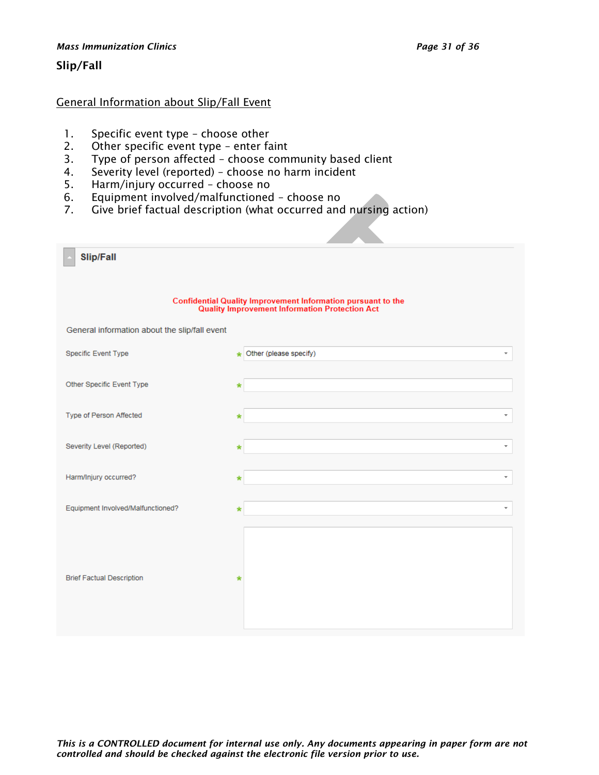#### *Mass Immunization Clinics Page 31 of 36*

#### Slip/Fall

#### General Information about Slip/Fall Event

- 1. Specific event type choose other
- 2. Other specific event type enter faint
- 3. Type of person affected choose community based client
- 4. Severity level (reported) choose no harm incident
- 5. Harm/injury occurred choose no
- 6. Equipment involved/malfunctioned choose no
- 7. Give brief factual description (what occurred and nursing action)

| <b>Slip/Fall</b>                              |                                                                                                                       |  |  |  |
|-----------------------------------------------|-----------------------------------------------------------------------------------------------------------------------|--|--|--|
|                                               | Confidential Quality Improvement Information pursuant to the<br><b>Quality Improvement Information Protection Act</b> |  |  |  |
| General information about the slip/fall event |                                                                                                                       |  |  |  |
| Specific Event Type                           | ★ Other (please specify)                                                                                              |  |  |  |
| Other Specific Event Type                     | ∗                                                                                                                     |  |  |  |
| Type of Person Affected                       | $\overline{\phantom{a}}$<br>*                                                                                         |  |  |  |
| Severity Level (Reported)                     | ×                                                                                                                     |  |  |  |
| Harm/Injury occurred?                         | $\overline{\phantom{a}}$                                                                                              |  |  |  |
| Equipment Involved/Malfunctioned?             |                                                                                                                       |  |  |  |
| <b>Brief Factual Description</b>              | *                                                                                                                     |  |  |  |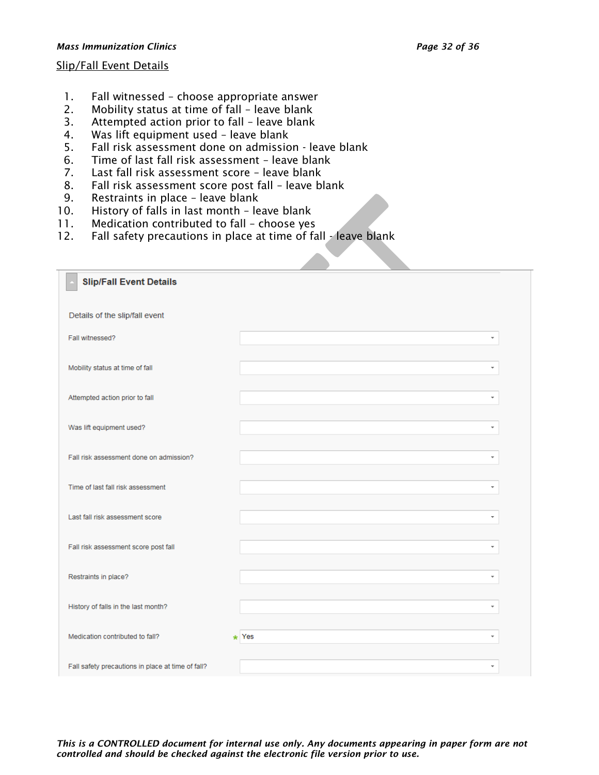#### *Mass Immunization Clinics Page 32 of 36*

#### Slip/Fall Event Details

- 1. Fall witnessed choose appropriate answer
- 2. Mobility status at time of fall leave blank
- 3. Attempted action prior to fall leave blank
- 4. Was lift equipment used leave blank
- 5. Fall risk assessment done on admission leave blank
- 6. Time of last fall risk assessment leave blank
- 7. Last fall risk assessment score leave blank
- 8. Fall risk assessment score post fall leave blank
- 9. Restraints in place leave blank
- 10. History of falls in last month leave blank
- 11. Medication contributed to fall choose yes
- 12. Fall safety precautions in place at time of fall leave blank

| <b>Slip/Fall Event Details</b><br>Details of the slip/fall event<br>Fall witnessed?<br>÷<br>Mobility status at time of fall<br>÷<br>Attempted action prior to fall<br>$\overline{\phantom{a}}$<br>Was lift equipment used?<br>Fall risk assessment done on admission?<br>÷<br>Time of last fall risk assessment<br>÷<br>Last fall risk assessment score<br>÷<br>Fall risk assessment score post fall<br>Restraints in place?<br>÷<br>History of falls in the last month?<br>÷<br>Medication contributed to fall?<br>$\star$ Yes<br>۰<br>Fall safety precautions in place at time of fall? |  |  |
|-------------------------------------------------------------------------------------------------------------------------------------------------------------------------------------------------------------------------------------------------------------------------------------------------------------------------------------------------------------------------------------------------------------------------------------------------------------------------------------------------------------------------------------------------------------------------------------------|--|--|
|                                                                                                                                                                                                                                                                                                                                                                                                                                                                                                                                                                                           |  |  |
|                                                                                                                                                                                                                                                                                                                                                                                                                                                                                                                                                                                           |  |  |
|                                                                                                                                                                                                                                                                                                                                                                                                                                                                                                                                                                                           |  |  |
|                                                                                                                                                                                                                                                                                                                                                                                                                                                                                                                                                                                           |  |  |
|                                                                                                                                                                                                                                                                                                                                                                                                                                                                                                                                                                                           |  |  |
|                                                                                                                                                                                                                                                                                                                                                                                                                                                                                                                                                                                           |  |  |
|                                                                                                                                                                                                                                                                                                                                                                                                                                                                                                                                                                                           |  |  |
|                                                                                                                                                                                                                                                                                                                                                                                                                                                                                                                                                                                           |  |  |
|                                                                                                                                                                                                                                                                                                                                                                                                                                                                                                                                                                                           |  |  |
|                                                                                                                                                                                                                                                                                                                                                                                                                                                                                                                                                                                           |  |  |
|                                                                                                                                                                                                                                                                                                                                                                                                                                                                                                                                                                                           |  |  |
|                                                                                                                                                                                                                                                                                                                                                                                                                                                                                                                                                                                           |  |  |
|                                                                                                                                                                                                                                                                                                                                                                                                                                                                                                                                                                                           |  |  |
|                                                                                                                                                                                                                                                                                                                                                                                                                                                                                                                                                                                           |  |  |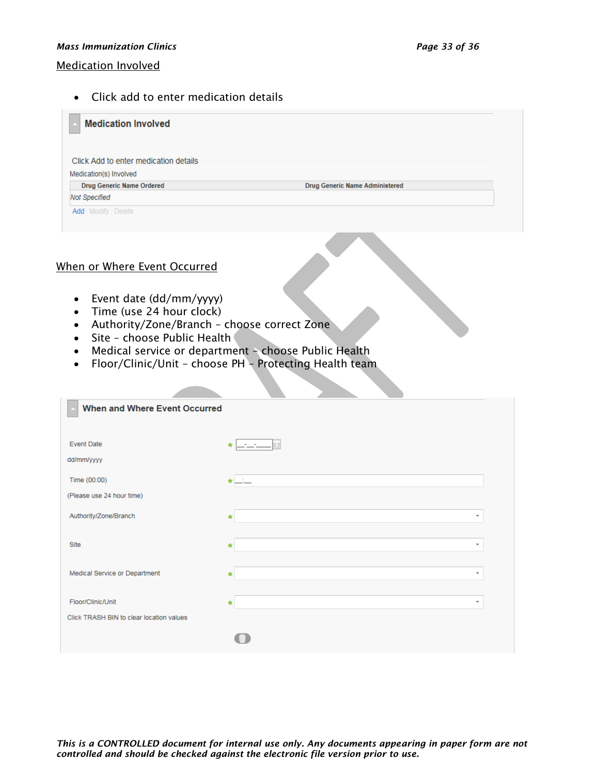#### *Mass Immunization Clinics Page 33 of 36*

#### Medication Involved

• Click add to enter medication details

| <b>Medication Involved</b>            |                                       |  |
|---------------------------------------|---------------------------------------|--|
| Click Add to enter medication details |                                       |  |
| Medication(s) Involved                |                                       |  |
| <b>Drug Generic Name Ordered</b>      | <b>Drug Generic Name Administered</b> |  |
| <b>Not Specified</b>                  |                                       |  |
| <b>Add</b> Modify Delete              |                                       |  |
|                                       |                                       |  |

#### When or Where Event Occurred

- Event date (dd/mm/yyyy)
- Time (use 24 hour clock)
- Authority/Zone/Branch choose correct Zone
- Site choose Public Health
- Medical service or department choose Public Health
- Floor/Clinic/Unit choose PH Protecting Health team

| <b>When and Where Event Occurred</b>     |                                     |  |
|------------------------------------------|-------------------------------------|--|
|                                          |                                     |  |
|                                          |                                     |  |
| <b>Event Date</b>                        | $\star$                             |  |
| dd/mm/yyyy                               |                                     |  |
| Time (00:00)                             | $\star$ $-$                         |  |
| (Please use 24 hour time)                |                                     |  |
|                                          |                                     |  |
| Authority/Zone/Branch                    | $\overline{\phantom{a}}$<br>$\ast$  |  |
| Site                                     | $\tau$<br>$\star$                   |  |
|                                          |                                     |  |
| Medical Service or Department            | $\overline{\phantom{a}}$<br>$\star$ |  |
|                                          |                                     |  |
| Floor/Clinic/Unit                        | $\overline{\phantom{a}}$<br>$\ast$  |  |
| Click TRASH BIN to clear location values |                                     |  |
|                                          |                                     |  |
|                                          |                                     |  |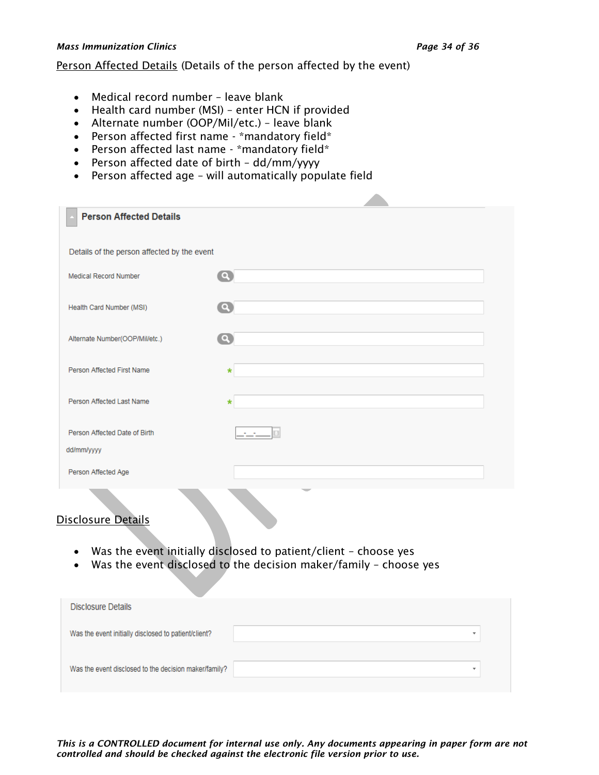#### *Mass Immunization Clinics Page 34 of 36*

#### Person Affected Details (Details of the person affected by the event)

- Medical record number leave blank
- Health card number (MSI) enter HCN if provided
- Alternate number (OOP/Mil/etc.) leave blank
- Person affected first name \*mandatory field\*
- Person affected last name \*mandatory field\*
- Person affected date of birth dd/mm/yyyy
- Person affected age will automatically populate field

| <b>Person Affected Details</b>              |                          |
|---------------------------------------------|--------------------------|
|                                             |                          |
| Details of the person affected by the event |                          |
| <b>Medical Record Number</b>                | $\bullet$                |
|                                             |                          |
| Health Card Number (MSI)                    | $\mathbf{\Omega}$        |
|                                             |                          |
| Alternate Number(OOP/Mil/etc.)              | $\boldsymbol{\Omega}$    |
|                                             |                          |
| Person Affected First Name                  | $\star$                  |
|                                             |                          |
| Person Affected Last Name                   | $\star$                  |
|                                             |                          |
| Person Affected Date of Birth               |                          |
|                                             |                          |
| dd/mm/yyyy                                  |                          |
| Person Affected Age                         |                          |
| <b>Contract</b>                             | $\overline{\phantom{a}}$ |

# Disclosure Details

- Was the event initially disclosed to patient/client choose yes
- Was the event disclosed to the decision maker/family choose yes

| Disclosure Details                                    |                          |  |
|-------------------------------------------------------|--------------------------|--|
| Was the event initially disclosed to patient/client?  | ٠                        |  |
| Was the event disclosed to the decision maker/family? | $\overline{\phantom{a}}$ |  |
|                                                       |                          |  |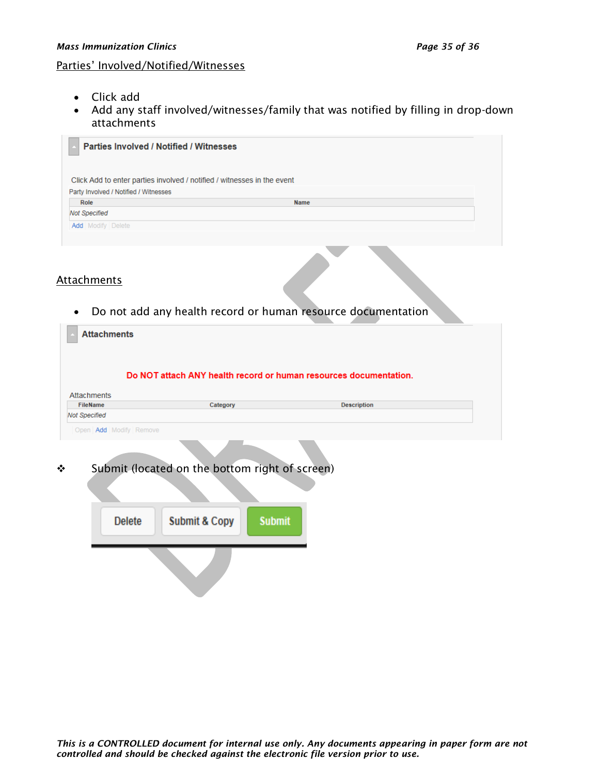#### Parties' Involved/Notified/Witnesses

- Click add
- Add any staff involved/witnesses/family that was notified by filling in drop-down attachments

| Click Add to enter parties involved / notified / witnesses in the event |             |  |
|-------------------------------------------------------------------------|-------------|--|
|                                                                         |             |  |
| Party Involved / Notified / Witnesses                                   |             |  |
| Role                                                                    | <b>Name</b> |  |
| <b>Not Specified</b>                                                    |             |  |

#### **Attachments**

• Do not add any health record or human resource documentation

| <b>Attachments</b>     |                                                                   |                    |  |
|------------------------|-------------------------------------------------------------------|--------------------|--|
|                        | Do NOT attach ANY health record or human resources documentation. |                    |  |
| <b>Attachments</b>     |                                                                   |                    |  |
| <b>FileName</b>        | Category                                                          | <b>Description</b> |  |
| <b>Not Specified</b>   |                                                                   |                    |  |
| Open Add Modify Remove |                                                                   |                    |  |
|                        | Submit (located on the bottom right of screen)                    |                    |  |
|                        |                                                                   |                    |  |
| <b>Delete</b>          | <b>Submit &amp; Copy</b><br><b>Submit</b>                         |                    |  |